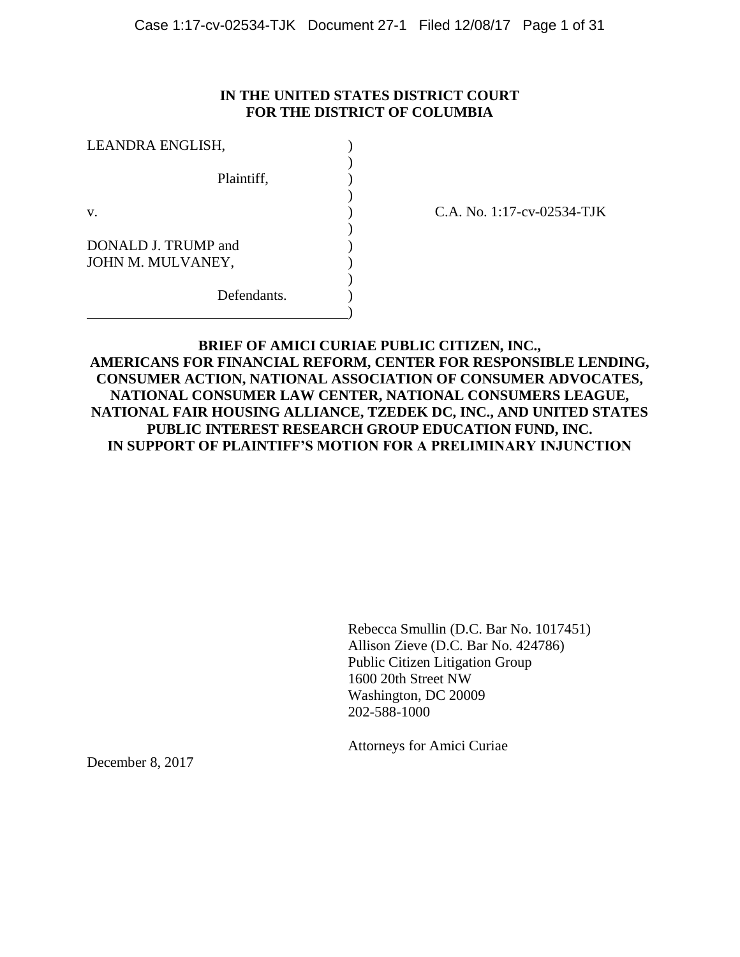### **IN THE UNITED STATES DISTRICT COURT FOR THE DISTRICT OF COLUMBIA**

| LEANDRA ENGLISH,                         |  |
|------------------------------------------|--|
| Plaintiff,                               |  |
| V.                                       |  |
| DONALD J. TRUMP and<br>JOHN M. MULVANEY, |  |
| Defendants.                              |  |

C.A. No. 1:17-cv-02534-TJK

## **BRIEF OF AMICI CURIAE PUBLIC CITIZEN, INC., AMERICANS FOR FINANCIAL REFORM, CENTER FOR RESPONSIBLE LENDING, CONSUMER ACTION, NATIONAL ASSOCIATION OF CONSUMER ADVOCATES, NATIONAL CONSUMER LAW CENTER, NATIONAL CONSUMERS LEAGUE, NATIONAL FAIR HOUSING ALLIANCE, TZEDEK DC, INC., AND UNITED STATES PUBLIC INTEREST RESEARCH GROUP EDUCATION FUND, INC. IN SUPPORT OF PLAINTIFF'S MOTION FOR A PRELIMINARY INJUNCTION**

Rebecca Smullin (D.C. Bar No. 1017451) Allison Zieve (D.C. Bar No. 424786) Public Citizen Litigation Group 1600 20th Street NW Washington, DC 20009 202-588-1000

Attorneys for Amici Curiae

December 8, 2017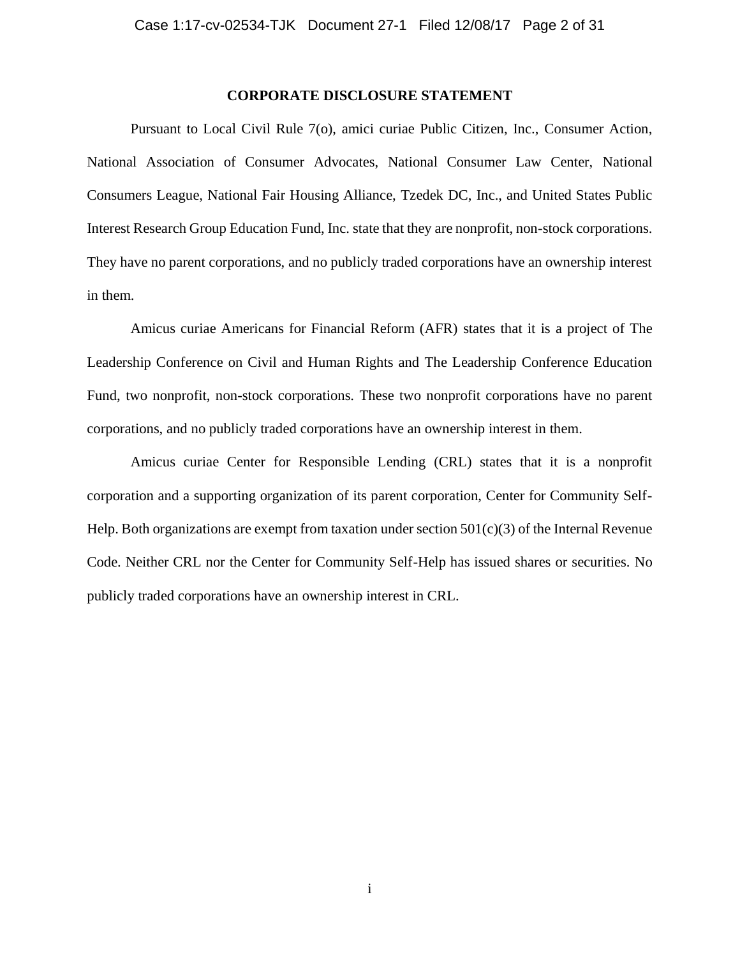#### **CORPORATE DISCLOSURE STATEMENT**

Pursuant to Local Civil Rule 7(o), amici curiae Public Citizen, Inc., Consumer Action, National Association of Consumer Advocates, National Consumer Law Center, National Consumers League, National Fair Housing Alliance, Tzedek DC, Inc., and United States Public Interest Research Group Education Fund, Inc. state that they are nonprofit, non-stock corporations. They have no parent corporations, and no publicly traded corporations have an ownership interest in them.

Amicus curiae Americans for Financial Reform (AFR) states that it is a project of The Leadership Conference on Civil and Human Rights and The Leadership Conference Education Fund, two nonprofit, non-stock corporations. These two nonprofit corporations have no parent corporations, and no publicly traded corporations have an ownership interest in them.

Amicus curiae Center for Responsible Lending (CRL) states that it is a nonprofit corporation and a supporting organization of its parent corporation, Center for Community Self-Help. Both organizations are exempt from taxation under section  $501(c)(3)$  of the Internal Revenue Code. Neither CRL nor the Center for Community Self-Help has issued shares or securities. No publicly traded corporations have an ownership interest in CRL.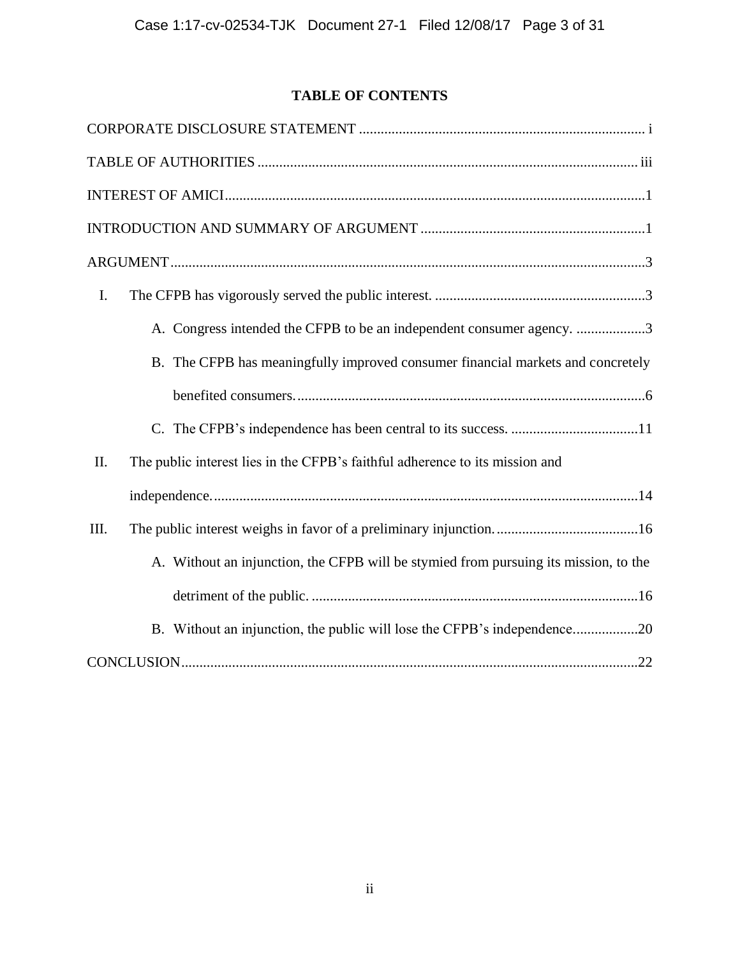# **TABLE OF CONTENTS**

| I.                                                                                   |
|--------------------------------------------------------------------------------------|
| A. Congress intended the CFPB to be an independent consumer agency. 3                |
| B. The CFPB has meaningfully improved consumer financial markets and concretely      |
|                                                                                      |
|                                                                                      |
| The public interest lies in the CFPB's faithful adherence to its mission and<br>II.  |
|                                                                                      |
| Ш.                                                                                   |
| A. Without an injunction, the CFPB will be stymied from pursuing its mission, to the |
|                                                                                      |
| B. Without an injunction, the public will lose the CFPB's independence20             |
|                                                                                      |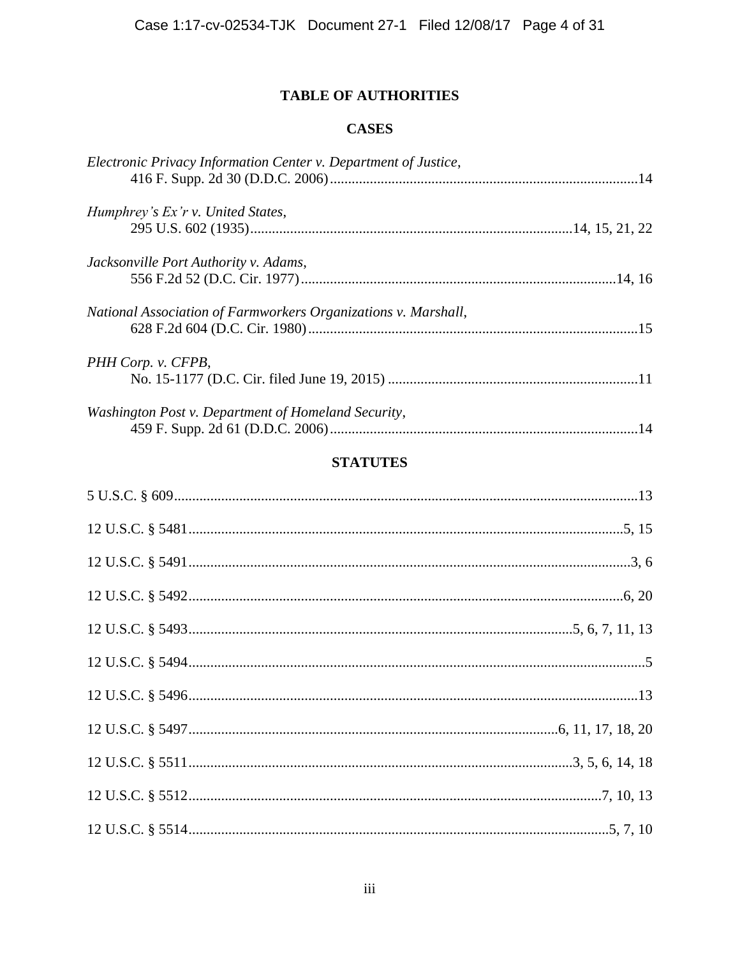## **TABLE OF AUTHORITIES**

## **CASES**

| Electronic Privacy Information Center v. Department of Justice, |  |
|-----------------------------------------------------------------|--|
| Humphrey's Ex'r v. United States,                               |  |
|                                                                 |  |
| Jacksonville Port Authority v. Adams,                           |  |
|                                                                 |  |
| National Association of Farmworkers Organizations v. Marshall,  |  |
|                                                                 |  |
| PHH Corp. v. CFPB,                                              |  |
|                                                                 |  |
| Washington Post v. Department of Homeland Security,             |  |
|                                                                 |  |

# **STATUTES**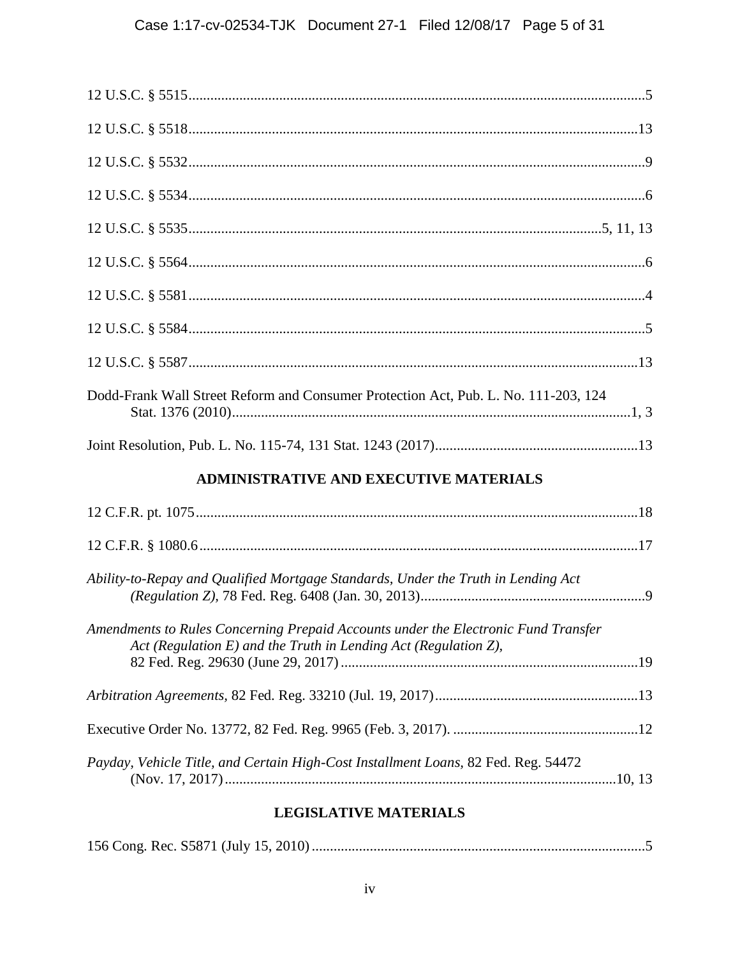| Dodd-Frank Wall Street Reform and Consumer Protection Act, Pub. L. No. 111-203, 124                                                                      |
|----------------------------------------------------------------------------------------------------------------------------------------------------------|
|                                                                                                                                                          |
| <b>ADMINISTRATIVE AND EXECUTIVE MATERIALS</b>                                                                                                            |
|                                                                                                                                                          |
|                                                                                                                                                          |
| Ability-to-Repay and Qualified Mortgage Standards, Under the Truth in Lending Act                                                                        |
| Amendments to Rules Concerning Prepaid Accounts under the Electronic Fund Transfer<br>Act (Regulation $E$ ) and the Truth in Lending Act (Regulation Z), |
|                                                                                                                                                          |
|                                                                                                                                                          |
| Payday, Vehicle Title, and Certain High-Cost Installment Loans, 82 Fed. Reg. 54472                                                                       |

## **LEGISLATIVE MATERIALS**

|--|--|--|--|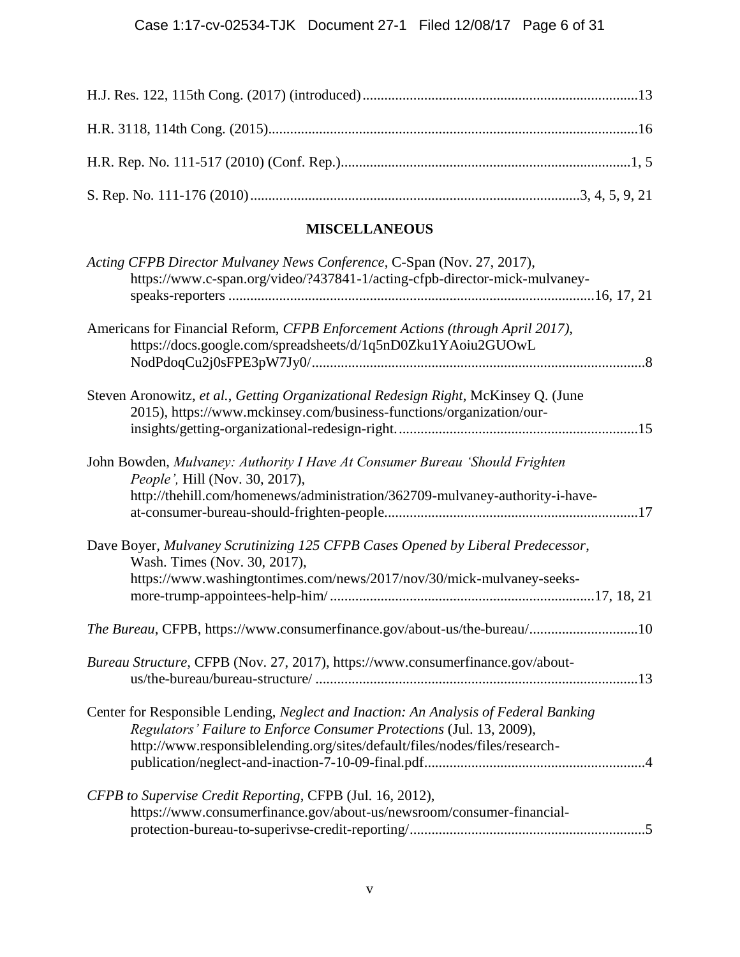# **MISCELLANEOUS**

| Acting CFPB Director Mulvaney News Conference, C-Span (Nov. 27, 2017),<br>https://www.c-span.org/video/?437841-1/acting-cfpb-director-mick-mulvaney-                                                                                        |
|---------------------------------------------------------------------------------------------------------------------------------------------------------------------------------------------------------------------------------------------|
| Americans for Financial Reform, CFPB Enforcement Actions (through April 2017),<br>https://docs.google.com/spreadsheets/d/1q5nD0Zku1YAoiu2GUOwL                                                                                              |
| Steven Aronowitz, et al., Getting Organizational Redesign Right, McKinsey Q. (June<br>2015), https://www.mckinsey.com/business-functions/organization/our-                                                                                  |
| John Bowden, Mulvaney: Authority I Have At Consumer Bureau 'Should Frighten<br>People', Hill (Nov. 30, 2017),<br>http://thehill.com/homenews/administration/362709-mulvaney-authority-i-have-                                               |
| Dave Boyer, Mulvaney Scrutinizing 125 CFPB Cases Opened by Liberal Predecessor,<br>Wash. Times (Nov. 30, 2017),<br>https://www.washingtontimes.com/news/2017/nov/30/mick-mulvaney-seeks-                                                    |
| The Bureau, CFPB, https://www.consumerfinance.gov/about-us/the-bureau/10                                                                                                                                                                    |
| Bureau Structure, CFPB (Nov. 27, 2017), https://www.consumerfinance.gov/about-                                                                                                                                                              |
| Center for Responsible Lending, Neglect and Inaction: An Analysis of Federal Banking<br>Regulators' Failure to Enforce Consumer Protections (Jul. 13, 2009),<br>http://www.responsiblelending.org/sites/default/files/nodes/files/research- |
| CFPB to Supervise Credit Reporting, CFPB (Jul. 16, 2012),<br>https://www.consumerfinance.gov/about-us/newsroom/consumer-financial-                                                                                                          |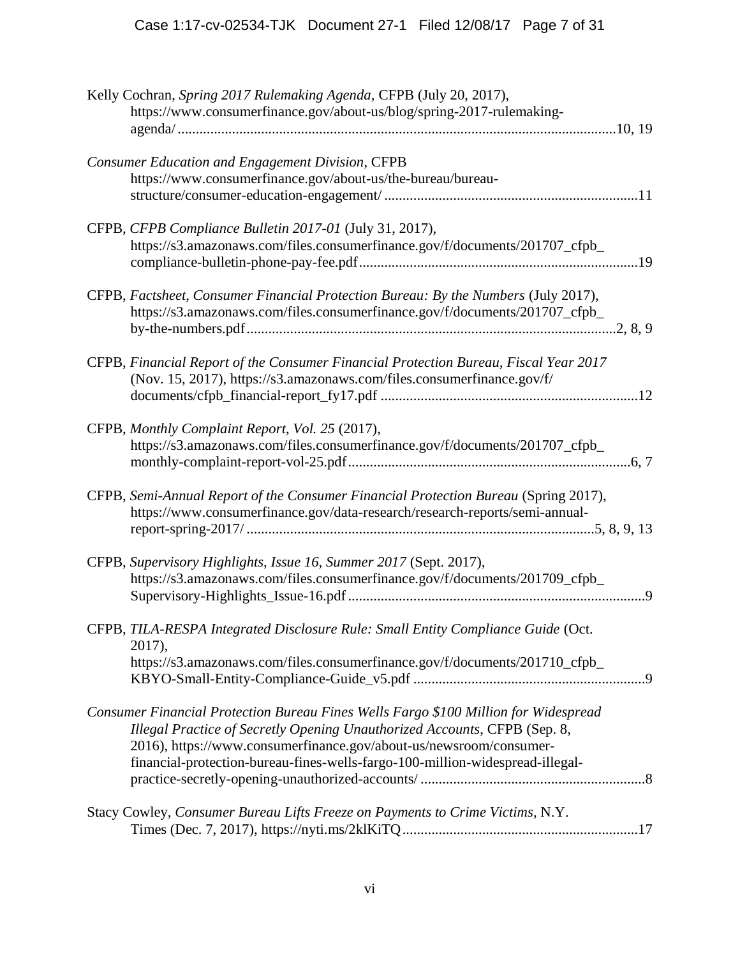| Kelly Cochran, Spring 2017 Rulemaking Agenda, CFPB (July 20, 2017),<br>https://www.consumerfinance.gov/about-us/blog/spring-2017-rulemaking-                                                                                                                                                                            |
|-------------------------------------------------------------------------------------------------------------------------------------------------------------------------------------------------------------------------------------------------------------------------------------------------------------------------|
| <b>Consumer Education and Engagement Division, CFPB</b><br>https://www.consumerfinance.gov/about-us/the-bureau/bureau-                                                                                                                                                                                                  |
| CFPB, CFPB Compliance Bulletin 2017-01 (July 31, 2017),<br>https://s3.amazonaws.com/files.consumerfinance.gov/f/documents/201707_cfpb_                                                                                                                                                                                  |
| CFPB, Factsheet, Consumer Financial Protection Bureau: By the Numbers (July 2017),<br>https://s3.amazonaws.com/files.consumerfinance.gov/f/documents/201707_cfpb_                                                                                                                                                       |
| CFPB, Financial Report of the Consumer Financial Protection Bureau, Fiscal Year 2017<br>(Nov. 15, 2017), https://s3.amazonaws.com/files.consumerfinance.gov/f/                                                                                                                                                          |
| CFPB, Monthly Complaint Report, Vol. 25 (2017),<br>https://s3.amazonaws.com/files.consumerfinance.gov/f/documents/201707_cfpb_                                                                                                                                                                                          |
| CFPB, Semi-Annual Report of the Consumer Financial Protection Bureau (Spring 2017),<br>https://www.consumerfinance.gov/data-research/research-reports/semi-annual-                                                                                                                                                      |
| CFPB, Supervisory Highlights, Issue 16, Summer 2017 (Sept. 2017),<br>https://s3.amazonaws.com/files.consumerfinance.gov/f/documents/201709_cfpb_                                                                                                                                                                        |
| CFPB, TILA-RESPA Integrated Disclosure Rule: Small Entity Compliance Guide (Oct.<br>2017),<br>https://s3.amazonaws.com/files.consumerfinance.gov/f/documents/201710_cfpb_                                                                                                                                               |
| Consumer Financial Protection Bureau Fines Wells Fargo \$100 Million for Widespread<br>Illegal Practice of Secretly Opening Unauthorized Accounts, CFPB (Sep. 8,<br>2016), https://www.consumerfinance.gov/about-us/newsroom/consumer-<br>financial-protection-bureau-fines-wells-fargo-100-million-widespread-illegal- |
| Stacy Cowley, Consumer Bureau Lifts Freeze on Payments to Crime Victims, N.Y.                                                                                                                                                                                                                                           |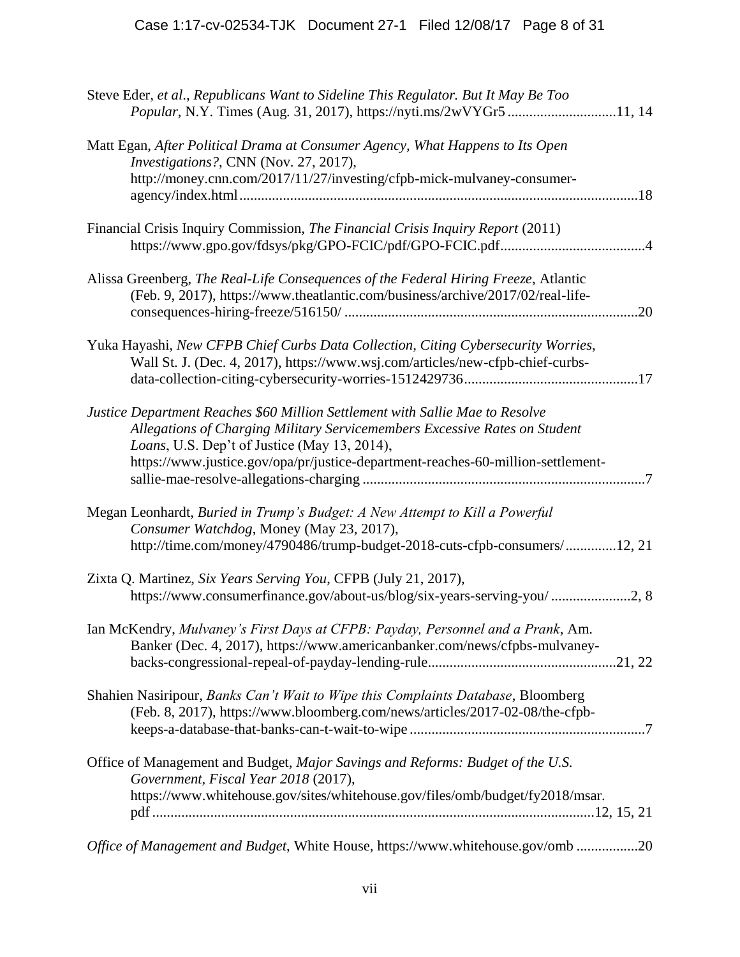| Steve Eder, et al., Republicans Want to Sideline This Regulator. But It May Be Too<br>Popular, N.Y. Times (Aug. 31, 2017), https://nyti.ms/2wVYGr511, 14                                                                                                                                        |
|-------------------------------------------------------------------------------------------------------------------------------------------------------------------------------------------------------------------------------------------------------------------------------------------------|
| Matt Egan, After Political Drama at Consumer Agency, What Happens to Its Open<br>Investigations?, CNN (Nov. 27, 2017),                                                                                                                                                                          |
| http://money.cnn.com/2017/11/27/investing/cfpb-mick-mulvaney-consumer-                                                                                                                                                                                                                          |
| Financial Crisis Inquiry Commission, The Financial Crisis Inquiry Report (2011)                                                                                                                                                                                                                 |
| Alissa Greenberg, The Real-Life Consequences of the Federal Hiring Freeze, Atlantic<br>(Feb. 9, 2017), https://www.theatlantic.com/business/archive/2017/02/real-life-                                                                                                                          |
| Yuka Hayashi, New CFPB Chief Curbs Data Collection, Citing Cybersecurity Worries,<br>Wall St. J. (Dec. 4, 2017), https://www.wsj.com/articles/new-cfpb-chief-curbs-                                                                                                                             |
| Justice Department Reaches \$60 Million Settlement with Sallie Mae to Resolve<br>Allegations of Charging Military Servicemembers Excessive Rates on Student<br>Loans, U.S. Dep't of Justice (May 13, 2014),<br>https://www.justice.gov/opa/pr/justice-department-reaches-60-million-settlement- |
| Megan Leonhardt, Buried in Trump's Budget: A New Attempt to Kill a Powerful<br>Consumer Watchdog, Money (May 23, 2017),<br>http://time.com/money/4790486/trump-budget-2018-cuts-cfpb-consumers/12, 21                                                                                           |
| Zixta Q. Martinez, Six Years Serving You, CFPB (July 21, 2017),<br>https://www.consumerfinance.gov/about-us/blog/six-years-serving-you/2, 8                                                                                                                                                     |
| Ian McKendry, Mulvaney's First Days at CFPB: Payday, Personnel and a Prank, Am.<br>Banker (Dec. 4, 2017), https://www.americanbanker.com/news/cfpbs-mulvaney-                                                                                                                                   |
| Shahien Nasiripour, Banks Can't Wait to Wipe this Complaints Database, Bloomberg<br>(Feb. 8, 2017), https://www.bloomberg.com/news/articles/2017-02-08/the-cfpb-                                                                                                                                |
| Office of Management and Budget, Major Savings and Reforms: Budget of the U.S.<br>Government, Fiscal Year 2018 (2017),                                                                                                                                                                          |
| https://www.whitehouse.gov/sites/whitehouse.gov/files/omb/budget/fy2018/msar.                                                                                                                                                                                                                   |
| Office of Management and Budget, White House, https://www.whitehouse.gov/omb 20                                                                                                                                                                                                                 |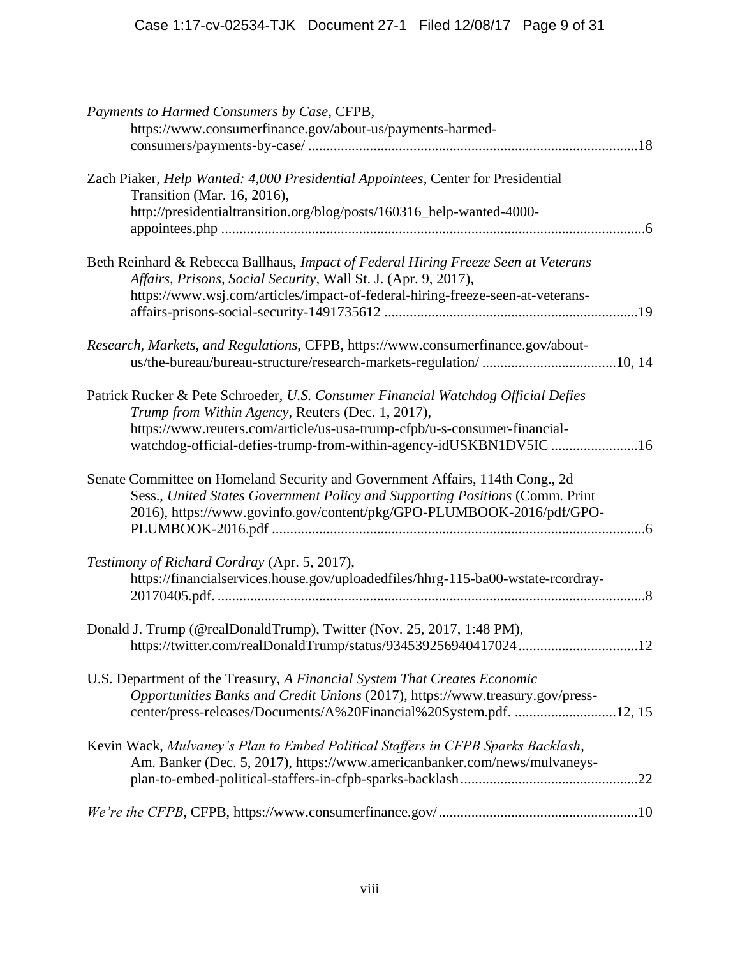| Payments to Harmed Consumers by Case, CFPB,<br>https://www.consumerfinance.gov/about-us/payments-harmed-                                                                                                                               |
|----------------------------------------------------------------------------------------------------------------------------------------------------------------------------------------------------------------------------------------|
|                                                                                                                                                                                                                                        |
| Zach Piaker, Help Wanted: 4,000 Presidential Appointees, Center for Presidential<br>Transition (Mar. 16, 2016),                                                                                                                        |
| http://presidentialtransition.org/blog/posts/160316_help-wanted-4000-                                                                                                                                                                  |
| Beth Reinhard & Rebecca Ballhaus, Impact of Federal Hiring Freeze Seen at Veterans                                                                                                                                                     |
| Affairs, Prisons, Social Security, Wall St. J. (Apr. 9, 2017),<br>https://www.wsj.com/articles/impact-of-federal-hiring-freeze-seen-at-veterans-                                                                                       |
| Research, Markets, and Regulations, CFPB, https://www.consumerfinance.gov/about-                                                                                                                                                       |
| Patrick Rucker & Pete Schroeder, U.S. Consumer Financial Watchdog Official Defies<br>Trump from Within Agency, Reuters (Dec. 1, 2017),                                                                                                 |
| https://www.reuters.com/article/us-usa-trump-cfpb/u-s-consumer-financial-<br>watchdog-official-defies-trump-from-within-agency-idUSKBN1DV5IC 16                                                                                        |
| Senate Committee on Homeland Security and Government Affairs, 114th Cong., 2d<br>Sess., United States Government Policy and Supporting Positions (Comm. Print<br>2016), https://www.govinfo.gov/content/pkg/GPO-PLUMBOOK-2016/pdf/GPO- |
| Testimony of Richard Cordray (Apr. 5, 2017),<br>https://financialservices.house.gov/uploadedfiles/hhrg-115-ba00-wstate-rcordray-                                                                                                       |
| Donald J. Trump (@realDonaldTrump), Twitter (Nov. 25, 2017, 1:48 PM),<br>https://twitter.com/realDonaldTrump/status/93453925694041702412                                                                                               |
| U.S. Department of the Treasury, A Financial System That Creates Economic<br>Opportunities Banks and Credit Unions (2017), https://www.treasury.gov/press-<br>center/press-releases/Documents/A%20Financial%20System.pdf. 12, 15       |
| Kevin Wack, Mulvaney's Plan to Embed Political Staffers in CFPB Sparks Backlash,<br>Am. Banker (Dec. 5, 2017), https://www.americanbanker.com/news/mulvaneys-                                                                          |
|                                                                                                                                                                                                                                        |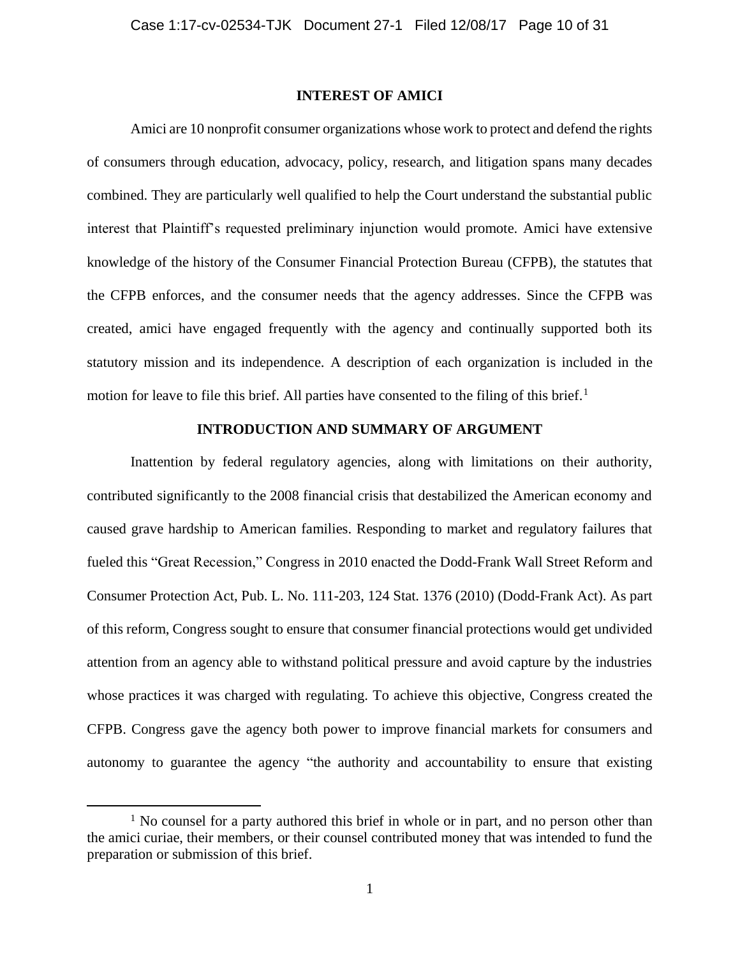#### **INTEREST OF AMICI**

Amici are 10 nonprofit consumer organizations whose work to protect and defend the rights of consumers through education, advocacy, policy, research, and litigation spans many decades combined. They are particularly well qualified to help the Court understand the substantial public interest that Plaintiff's requested preliminary injunction would promote. Amici have extensive knowledge of the history of the Consumer Financial Protection Bureau (CFPB), the statutes that the CFPB enforces, and the consumer needs that the agency addresses. Since the CFPB was created, amici have engaged frequently with the agency and continually supported both its statutory mission and its independence. A description of each organization is included in the motion for leave to file this brief. All parties have consented to the filing of this brief.<sup>1</sup>

### **INTRODUCTION AND SUMMARY OF ARGUMENT**

Inattention by federal regulatory agencies, along with limitations on their authority, contributed significantly to the 2008 financial crisis that destabilized the American economy and caused grave hardship to American families. Responding to market and regulatory failures that fueled this "Great Recession," Congress in 2010 enacted the Dodd-Frank Wall Street Reform and Consumer Protection Act, Pub. L. No. 111-203, 124 Stat. 1376 (2010) (Dodd-Frank Act). As part of this reform, Congress sought to ensure that consumer financial protections would get undivided attention from an agency able to withstand political pressure and avoid capture by the industries whose practices it was charged with regulating. To achieve this objective, Congress created the CFPB. Congress gave the agency both power to improve financial markets for consumers and autonomy to guarantee the agency "the authority and accountability to ensure that existing

 $<sup>1</sup>$  No counsel for a party authored this brief in whole or in part, and no person other than</sup> the amici curiae, their members, or their counsel contributed money that was intended to fund the preparation or submission of this brief.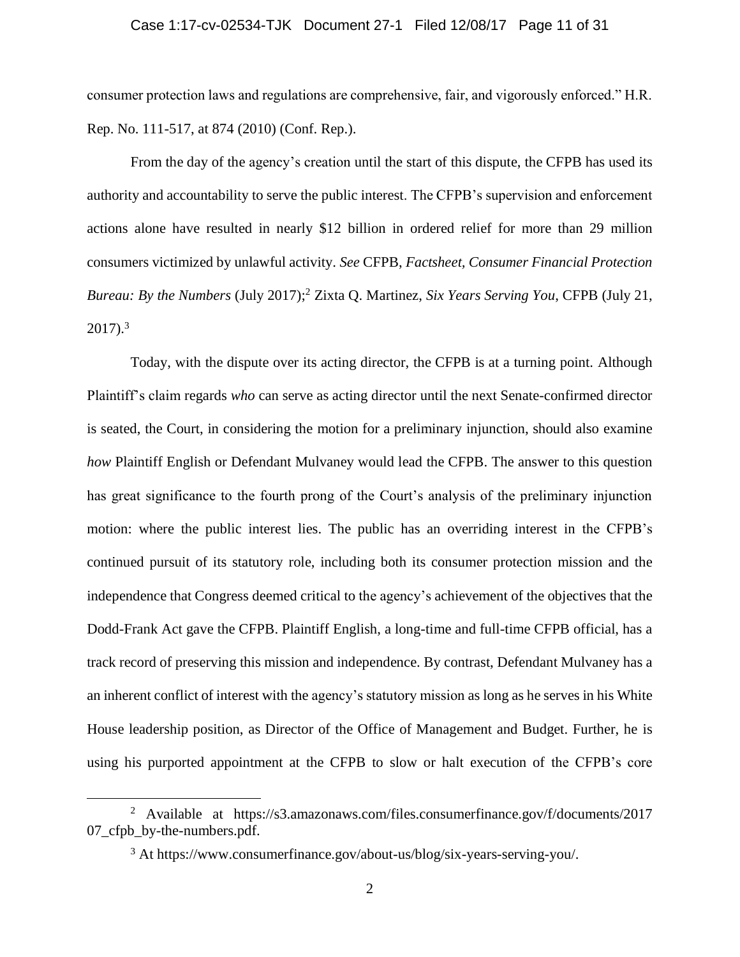#### Case 1:17-cv-02534-TJK Document 27-1 Filed 12/08/17 Page 11 of 31

consumer protection laws and regulations are comprehensive, fair, and vigorously enforced." H.R. Rep. No. 111-517, at 874 (2010) (Conf. Rep.).

From the day of the agency's creation until the start of this dispute, the CFPB has used its authority and accountability to serve the public interest. The CFPB's supervision and enforcement actions alone have resulted in nearly \$12 billion in ordered relief for more than 29 million consumers victimized by unlawful activity. *See* CFPB, *Factsheet, Consumer Financial Protection Bureau: By the Numbers* (July 2017); <sup>2</sup> Zixta Q. Martinez, *Six Years Serving You*, CFPB (July 21,  $2017$ ).<sup>3</sup>

Today, with the dispute over its acting director, the CFPB is at a turning point. Although Plaintiff's claim regards *who* can serve as acting director until the next Senate-confirmed director is seated, the Court, in considering the motion for a preliminary injunction, should also examine *how* Plaintiff English or Defendant Mulvaney would lead the CFPB. The answer to this question has great significance to the fourth prong of the Court's analysis of the preliminary injunction motion: where the public interest lies. The public has an overriding interest in the CFPB's continued pursuit of its statutory role, including both its consumer protection mission and the independence that Congress deemed critical to the agency's achievement of the objectives that the Dodd-Frank Act gave the CFPB. Plaintiff English, a long-time and full-time CFPB official, has a track record of preserving this mission and independence. By contrast, Defendant Mulvaney has a an inherent conflict of interest with the agency's statutory mission as long as he serves in his White House leadership position, as Director of the Office of Management and Budget. Further, he is using his purported appointment at the CFPB to slow or halt execution of the CFPB's core

<sup>&</sup>lt;sup>2</sup> Available at https://s3.amazonaws.com/files.consumerfinance.gov/f/documents/2017 07\_cfpb\_by-the-numbers.pdf.

<sup>3</sup> At https://www.consumerfinance.gov/about-us/blog/six-years-serving-you/.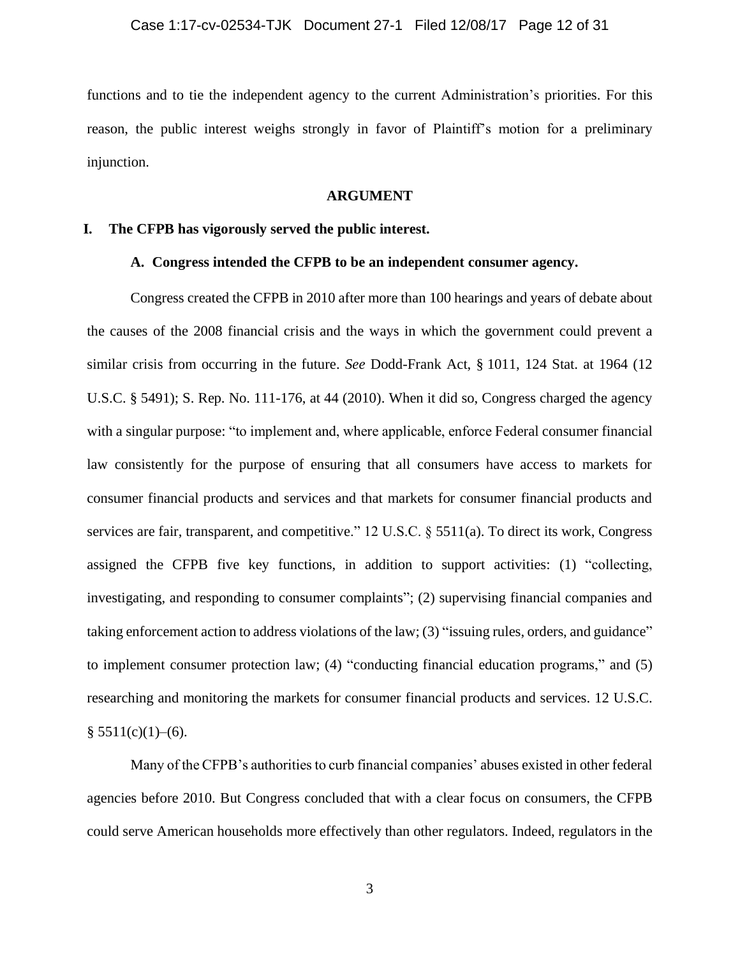functions and to tie the independent agency to the current Administration's priorities. For this reason, the public interest weighs strongly in favor of Plaintiff's motion for a preliminary injunction.

#### **ARGUMENT**

#### **I. The CFPB has vigorously served the public interest.**

#### **A. Congress intended the CFPB to be an independent consumer agency.**

Congress created the CFPB in 2010 after more than 100 hearings and years of debate about the causes of the 2008 financial crisis and the ways in which the government could prevent a similar crisis from occurring in the future. *See* Dodd-Frank Act, § 1011, 124 Stat. at 1964 (12 U.S.C. § 5491); S. Rep. No. 111-176, at 44 (2010). When it did so, Congress charged the agency with a singular purpose: "to implement and, where applicable, enforce Federal consumer financial law consistently for the purpose of ensuring that all consumers have access to markets for consumer financial products and services and that markets for consumer financial products and services are fair, transparent, and competitive." 12 U.S.C. § 5511(a). To direct its work, Congress assigned the CFPB five key functions, in addition to support activities: (1) "collecting, investigating, and responding to consumer complaints"; (2) supervising financial companies and taking enforcement action to address violations of the law; (3) "issuing rules, orders, and guidance" to implement consumer protection law; (4) "conducting financial education programs," and (5) researching and monitoring the markets for consumer financial products and services. 12 U.S.C.  $§ 5511(c)(1)–(6).$ 

Many of the CFPB's authorities to curb financial companies' abuses existed in other federal agencies before 2010. But Congress concluded that with a clear focus on consumers, the CFPB could serve American households more effectively than other regulators. Indeed, regulators in the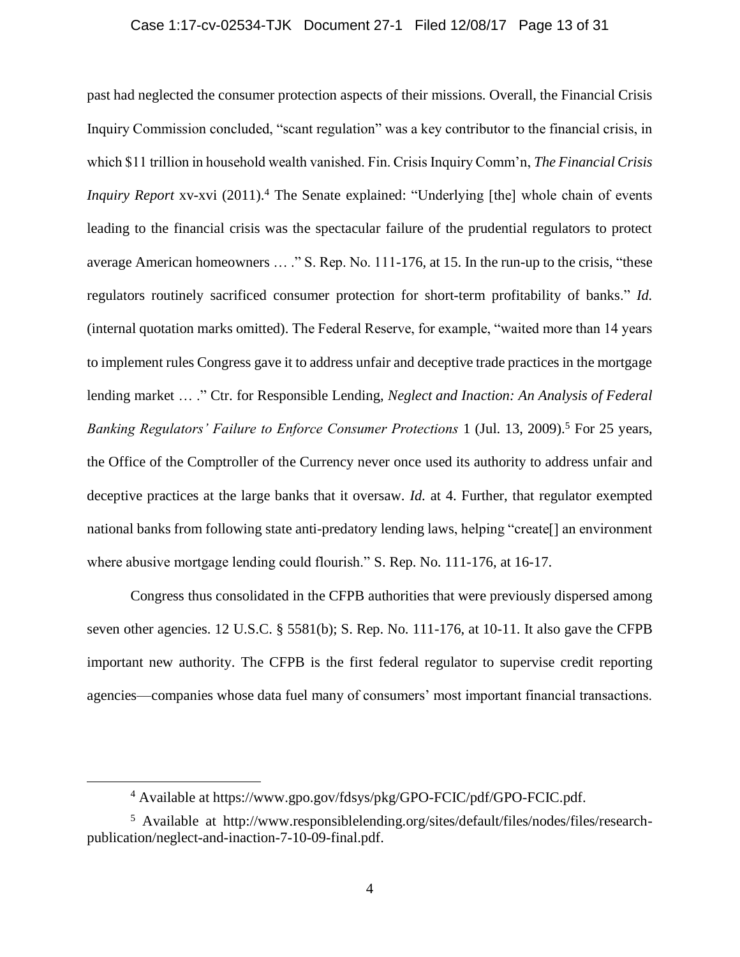#### Case 1:17-cv-02534-TJK Document 27-1 Filed 12/08/17 Page 13 of 31

past had neglected the consumer protection aspects of their missions. Overall, the Financial Crisis Inquiry Commission concluded, "scant regulation" was a key contributor to the financial crisis, in which \$11 trillion in household wealth vanished. Fin. Crisis Inquiry Comm'n, *The Financial Crisis Inquiry Report* xv-xvi (2011).<sup>4</sup> The Senate explained: "Underlying [the] whole chain of events leading to the financial crisis was the spectacular failure of the prudential regulators to protect average American homeowners … ." S. Rep. No. 111-176, at 15. In the run-up to the crisis, "these regulators routinely sacrificed consumer protection for short-term profitability of banks." *Id.*  (internal quotation marks omitted). The Federal Reserve, for example, "waited more than 14 years to implement rules Congress gave it to address unfair and deceptive trade practices in the mortgage lending market … ." Ctr. for Responsible Lending, *Neglect and Inaction: An Analysis of Federal Banking Regulators' Failure to Enforce Consumer Protections* 1 (Jul. 13, 2009).<sup>5</sup> For 25 years, the Office of the Comptroller of the Currency never once used its authority to address unfair and deceptive practices at the large banks that it oversaw. *Id.* at 4. Further, that regulator exempted national banks from following state anti-predatory lending laws, helping "create[] an environment where abusive mortgage lending could flourish." S. Rep. No. 111-176, at 16-17.

Congress thus consolidated in the CFPB authorities that were previously dispersed among seven other agencies. 12 U.S.C. § 5581(b); S. Rep. No. 111-176, at 10-11. It also gave the CFPB important new authority. The CFPB is the first federal regulator to supervise credit reporting agencies—companies whose data fuel many of consumers' most important financial transactions.

<sup>4</sup> Available at https://www.gpo.gov/fdsys/pkg/GPO-FCIC/pdf/GPO-FCIC.pdf.

<sup>5</sup> Available at http://www.responsiblelending.org/sites/default/files/nodes/files/researchpublication/neglect-and-inaction-7-10-09-final.pdf.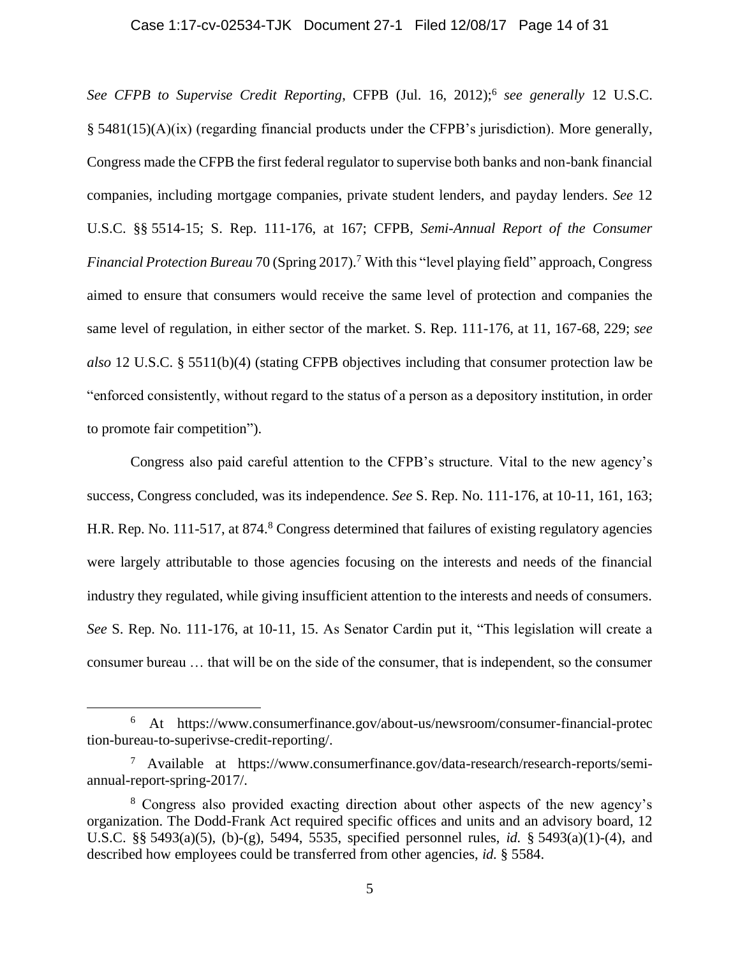#### Case 1:17-cv-02534-TJK Document 27-1 Filed 12/08/17 Page 14 of 31

See CFPB to Supervise Credit Reporting, CFPB (Jul. 16, 2012);<sup>6</sup> see generally 12 U.S.C. § 5481(15)(A)(ix) (regarding financial products under the CFPB's jurisdiction). More generally, Congress made the CFPB the first federal regulator to supervise both banks and non-bank financial companies, including mortgage companies, private student lenders, and payday lenders. *See* 12 U.S.C. §§ 5514-15; S. Rep. 111-176, at 167; CFPB, *Semi-Annual Report of the Consumer Financial Protection Bureau* 70 (Spring 2017).<sup>7</sup> With this "level playing field" approach, Congress aimed to ensure that consumers would receive the same level of protection and companies the same level of regulation, in either sector of the market. S. Rep. 111-176, at 11, 167-68, 229; *see also* 12 U.S.C. § 5511(b)(4) (stating CFPB objectives including that consumer protection law be "enforced consistently, without regard to the status of a person as a depository institution, in order to promote fair competition").

Congress also paid careful attention to the CFPB's structure. Vital to the new agency's success, Congress concluded, was its independence. *See* S. Rep. No. 111-176, at 10-11, 161, 163; H.R. Rep. No. 111-517, at 874.<sup>8</sup> Congress determined that failures of existing regulatory agencies were largely attributable to those agencies focusing on the interests and needs of the financial industry they regulated, while giving insufficient attention to the interests and needs of consumers. *See* S. Rep. No. 111-176, at 10-11, 15. As Senator Cardin put it, "This legislation will create a consumer bureau … that will be on the side of the consumer, that is independent, so the consumer

<sup>6</sup> At https://www.consumerfinance.gov/about-us/newsroom/consumer-financial-protec tion-bureau-to-superivse-credit-reporting/.

<sup>7</sup> Available at https://www.consumerfinance.gov/data-research/research-reports/semiannual-report-spring-2017/.

<sup>8</sup> Congress also provided exacting direction about other aspects of the new agency's organization. The Dodd-Frank Act required specific offices and units and an advisory board, 12 U.S.C. §§ 5493(a)(5), (b)-(g), 5494, 5535, specified personnel rules, *id.* § 5493(a)(1)-(4), and described how employees could be transferred from other agencies, *id.* § 5584.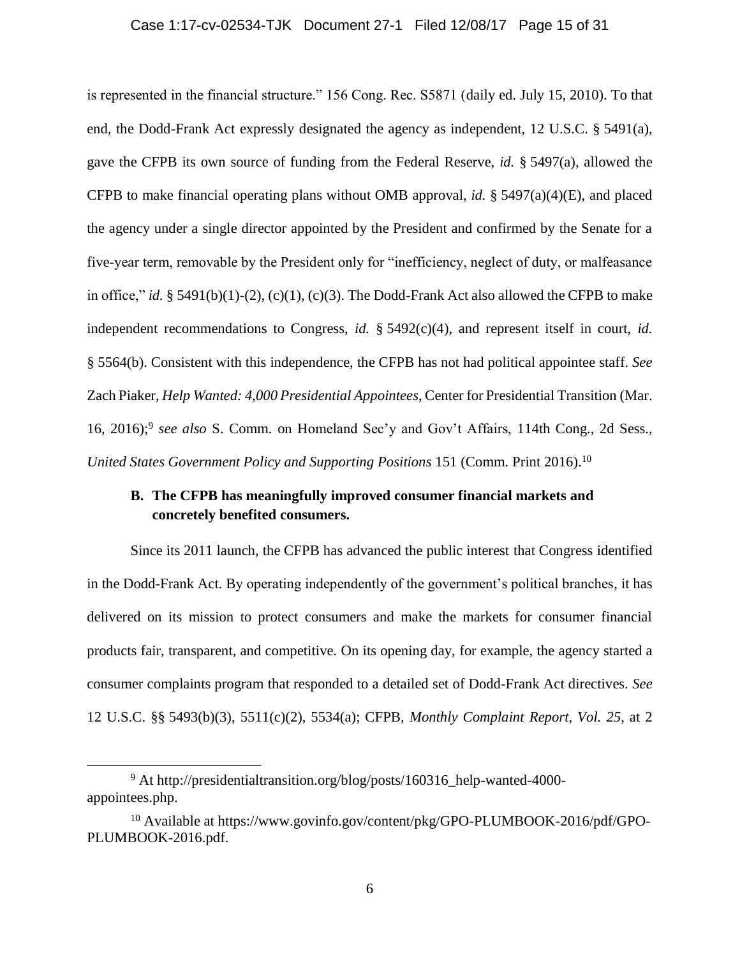#### Case 1:17-cv-02534-TJK Document 27-1 Filed 12/08/17 Page 15 of 31

is represented in the financial structure." 156 Cong. Rec. S5871 (daily ed. July 15, 2010). To that end, the Dodd-Frank Act expressly designated the agency as independent, 12 U.S.C. § 5491(a), gave the CFPB its own source of funding from the Federal Reserve, *id.* § 5497(a), allowed the CFPB to make financial operating plans without OMB approval, *id.* § 5497(a)(4)(E), and placed the agency under a single director appointed by the President and confirmed by the Senate for a five-year term, removable by the President only for "inefficiency, neglect of duty, or malfeasance in office," *id.* § 5491(b)(1)-(2), (c)(1), (c)(3). The Dodd-Frank Act also allowed the CFPB to make independent recommendations to Congress, *id.* § 5492(c)(4), and represent itself in court, *id.*  § 5564(b). Consistent with this independence, the CFPB has not had political appointee staff. *See* Zach Piaker, *Help Wanted: 4,000 Presidential Appointees*, Center for Presidential Transition (Mar. 16, 2016); 9 *see also* S. Comm. on Homeland Sec'y and Gov't Affairs, 114th Cong., 2d Sess., *United States Government Policy and Supporting Positions 151 (Comm. Print 2016).*<sup>10</sup>

## **B. The CFPB has meaningfully improved consumer financial markets and concretely benefited consumers.**

Since its 2011 launch, the CFPB has advanced the public interest that Congress identified in the Dodd-Frank Act. By operating independently of the government's political branches, it has delivered on its mission to protect consumers and make the markets for consumer financial products fair, transparent, and competitive. On its opening day, for example, the agency started a consumer complaints program that responded to a detailed set of Dodd-Frank Act directives. *See*  12 U.S.C. §§ 5493(b)(3), 5511(c)(2), 5534(a); CFPB, *Monthly Complaint Report*, *Vol. 25*, at 2

<sup>9</sup> At http://presidentialtransition.org/blog/posts/160316\_help-wanted-4000 appointees.php.

<sup>&</sup>lt;sup>10</sup> Available at https://www.govinfo.gov/content/pkg/GPO-PLUMBOOK-2016/pdf/GPO-PLUMBOOK-2016.pdf.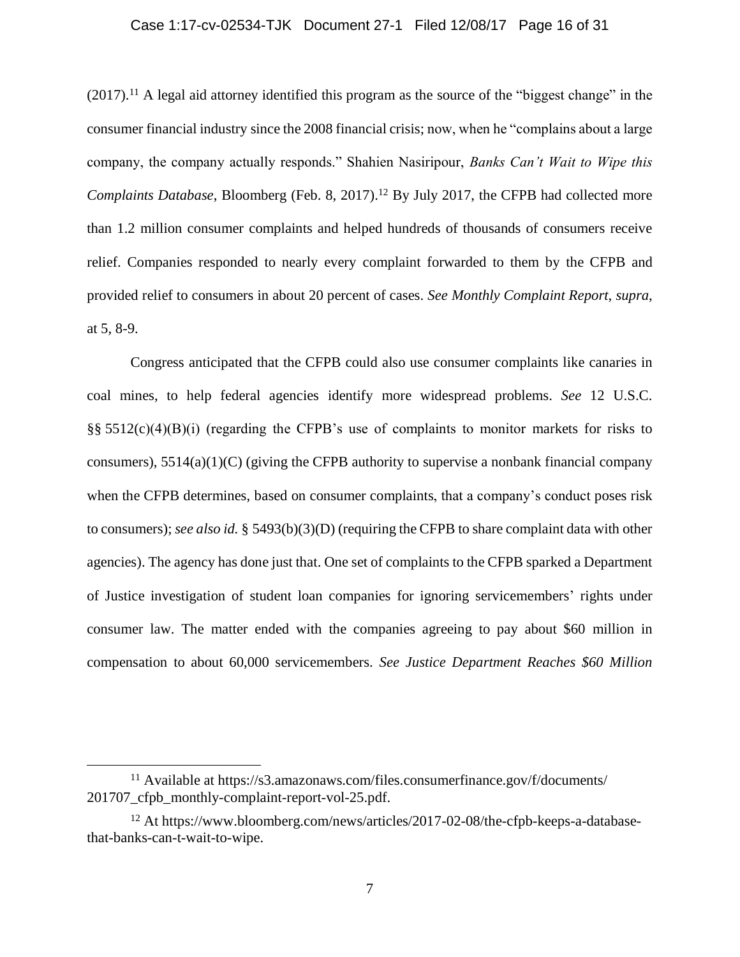#### Case 1:17-cv-02534-TJK Document 27-1 Filed 12/08/17 Page 16 of 31

 $(2017).<sup>11</sup>$  A legal aid attorney identified this program as the source of the "biggest change" in the consumer financial industry since the 2008 financial crisis; now, when he "complains about a large company, the company actually responds." Shahien Nasiripour, *Banks Can't Wait to Wipe this Complaints Database*, Bloomberg (Feb. 8, 2017). <sup>12</sup> By July 2017, the CFPB had collected more than 1.2 million consumer complaints and helped hundreds of thousands of consumers receive relief. Companies responded to nearly every complaint forwarded to them by the CFPB and provided relief to consumers in about 20 percent of cases. *See Monthly Complaint Report*, *supra*, at 5, 8-9.

Congress anticipated that the CFPB could also use consumer complaints like canaries in coal mines, to help federal agencies identify more widespread problems. *See* 12 U.S.C. §§ 5512(c)(4)(B)(i) (regarding the CFPB's use of complaints to monitor markets for risks to consumers),  $5514(a)(1)(C)$  (giving the CFPB authority to supervise a nonbank financial company when the CFPB determines, based on consumer complaints, that a company's conduct poses risk to consumers); *see also id.* § 5493(b)(3)(D) (requiring the CFPB to share complaint data with other agencies). The agency has done just that. One set of complaints to the CFPB sparked a Department of Justice investigation of student loan companies for ignoring servicemembers' rights under consumer law. The matter ended with the companies agreeing to pay about \$60 million in compensation to about 60,000 servicemembers. *See Justice Department Reaches \$60 Million* 

<sup>11</sup> Available at https://s3.amazonaws.com/files.consumerfinance.gov/f/documents/ 201707\_cfpb\_monthly-complaint-report-vol-25.pdf.

<sup>12</sup> At https://www.bloomberg.com/news/articles/2017-02-08/the-cfpb-keeps-a-databasethat-banks-can-t-wait-to-wipe.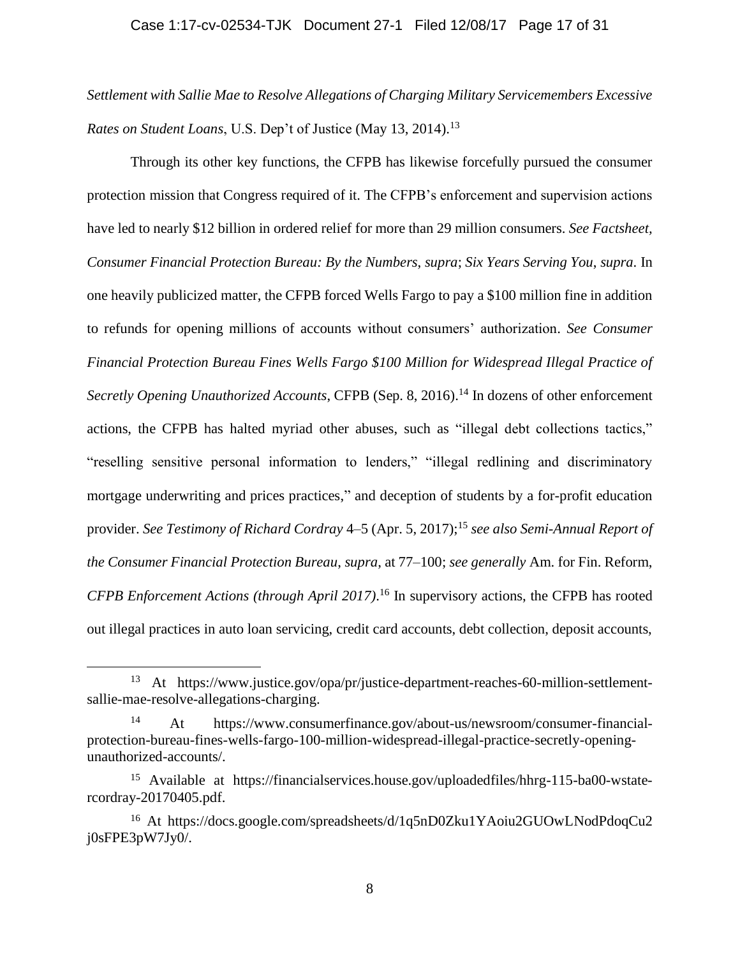*Settlement with Sallie Mae to Resolve Allegations of Charging Military Servicemembers Excessive Rates on Student Loans*, U.S. Dep't of Justice (May 13, 2014). 13

Through its other key functions, the CFPB has likewise forcefully pursued the consumer protection mission that Congress required of it. The CFPB's enforcement and supervision actions have led to nearly \$12 billion in ordered relief for more than 29 million consumers. *See Factsheet, Consumer Financial Protection Bureau: By the Numbers*, *supra*; *Six Years Serving You*, *supra*. In one heavily publicized matter, the CFPB forced Wells Fargo to pay a \$100 million fine in addition to refunds for opening millions of accounts without consumers' authorization. *See Consumer Financial Protection Bureau Fines Wells Fargo \$100 Million for Widespread Illegal Practice of Secretly Opening Unauthorized Accounts*, CFPB (Sep. 8, 2016).<sup>14</sup> In dozens of other enforcement actions, the CFPB has halted myriad other abuses, such as "illegal debt collections tactics," "reselling sensitive personal information to lenders," "illegal redlining and discriminatory mortgage underwriting and prices practices," and deception of students by a for-profit education provider. *See Testimony of Richard Cordray* 4–5 (Apr. 5, 2017); <sup>15</sup> *see also Semi-Annual Report of the Consumer Financial Protection Bureau*, *supra*, at 77–100; *see generally* Am. for Fin. Reform, *CFPB Enforcement Actions (through April 2017)*. <sup>16</sup> In supervisory actions, the CFPB has rooted out illegal practices in auto loan servicing, credit card accounts, debt collection, deposit accounts,

<sup>13</sup> At https://www.justice.gov/opa/pr/justice-department-reaches-60-million-settlementsallie-mae-resolve-allegations-charging.

<sup>14</sup> At https://www.consumerfinance.gov/about-us/newsroom/consumer-financialprotection-bureau-fines-wells-fargo-100-million-widespread-illegal-practice-secretly-openingunauthorized-accounts/.

<sup>15</sup> Available at https://financialservices.house.gov/uploadedfiles/hhrg-115-ba00-wstatercordray-20170405.pdf.

<sup>16</sup> At https://docs.google.com/spreadsheets/d/1q5nD0Zku1YAoiu2GUOwLNodPdoqCu2 j0sFPE3pW7Jy0/.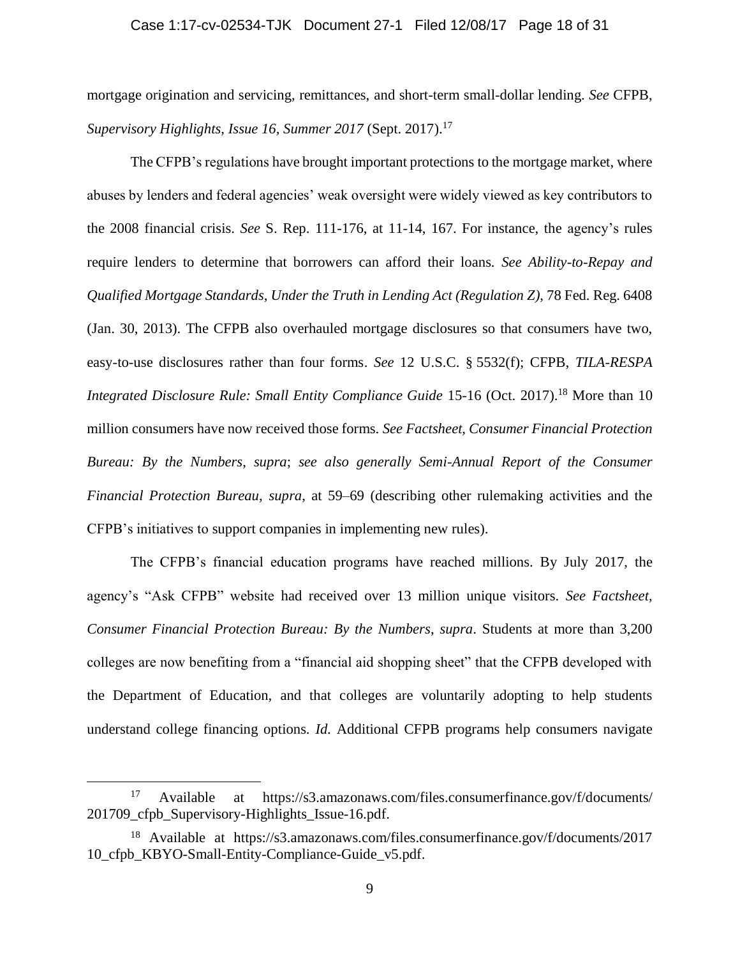#### Case 1:17-cv-02534-TJK Document 27-1 Filed 12/08/17 Page 18 of 31

mortgage origination and servicing, remittances, and short-term small-dollar lending. *See* CFPB, *Supervisory Highlights*, *Issue 16, Summer 2017* (Sept. 2017). 17

The CFPB's regulations have brought important protections to the mortgage market, where abuses by lenders and federal agencies' weak oversight were widely viewed as key contributors to the 2008 financial crisis. *See* S. Rep. 111-176, at 11-14, 167. For instance, the agency's rules require lenders to determine that borrowers can afford their loans. *See Ability-to-Repay and Qualified Mortgage Standards*, *Under the Truth in Lending Act (Regulation Z)*, 78 Fed. Reg. 6408 (Jan. 30, 2013). The CFPB also overhauled mortgage disclosures so that consumers have two, easy-to-use disclosures rather than four forms. *See* 12 U.S.C. § 5532(f); CFPB, *TILA-RESPA Integrated Disclosure Rule: Small Entity Compliance Guide* 15-16 (Oct. 2017). <sup>18</sup> More than 10 million consumers have now received those forms. *See Factsheet, Consumer Financial Protection Bureau: By the Numbers*, *supra*; *see also generally Semi-Annual Report of the Consumer Financial Protection Bureau*, *supra*, at 59–69 (describing other rulemaking activities and the CFPB's initiatives to support companies in implementing new rules).

The CFPB's financial education programs have reached millions. By July 2017, the agency's "Ask CFPB" website had received over 13 million unique visitors. *See Factsheet, Consumer Financial Protection Bureau: By the Numbers*, *supra*. Students at more than 3,200 colleges are now benefiting from a "financial aid shopping sheet" that the CFPB developed with the Department of Education, and that colleges are voluntarily adopting to help students understand college financing options. *Id.* Additional CFPB programs help consumers navigate

<sup>17</sup> Available at https://s3.amazonaws.com/files.consumerfinance.gov/f/documents/ 201709\_cfpb\_Supervisory-Highlights\_Issue-16.pdf.

<sup>18</sup> Available at https://s3.amazonaws.com/files.consumerfinance.gov/f/documents/2017 10\_cfpb\_KBYO-Small-Entity-Compliance-Guide\_v5.pdf.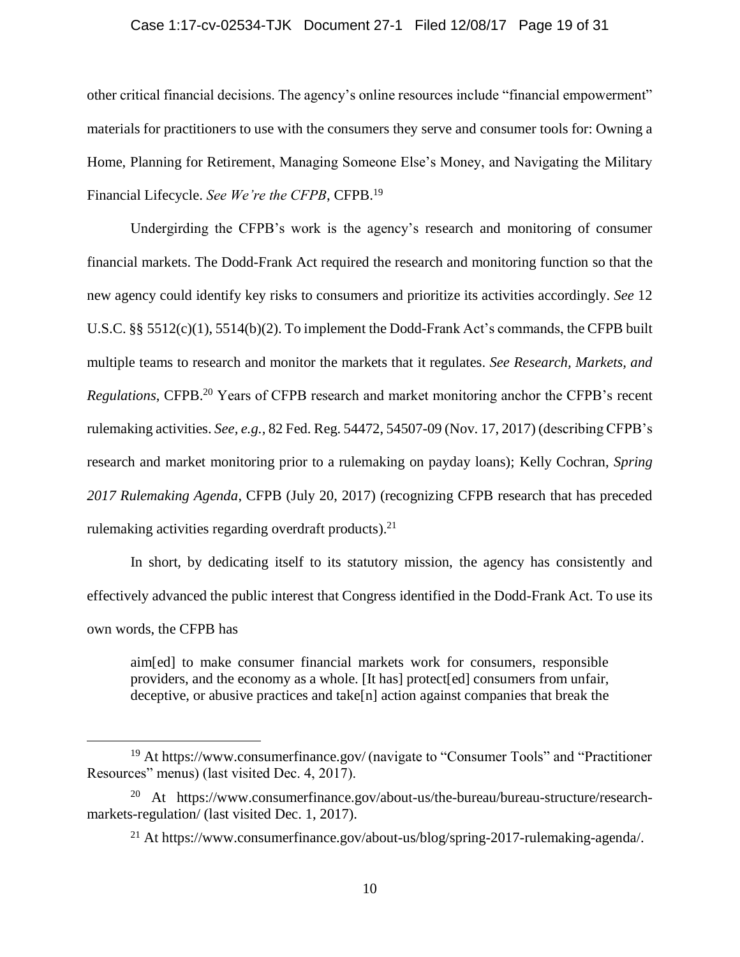#### Case 1:17-cv-02534-TJK Document 27-1 Filed 12/08/17 Page 19 of 31

other critical financial decisions. The agency's online resources include "financial empowerment" materials for practitioners to use with the consumers they serve and consumer tools for: Owning a Home, Planning for Retirement, Managing Someone Else's Money, and Navigating the Military Financial Lifecycle. *See We're the CFPB*, CFPB.<sup>19</sup>

Undergirding the CFPB's work is the agency's research and monitoring of consumer financial markets. The Dodd-Frank Act required the research and monitoring function so that the new agency could identify key risks to consumers and prioritize its activities accordingly. *See* 12 U.S.C. §§ 5512(c)(1), 5514(b)(2). To implement the Dodd-Frank Act's commands, the CFPB built multiple teams to research and monitor the markets that it regulates. *See Research, Markets, and Regulations*, CFPB. <sup>20</sup> Years of CFPB research and market monitoring anchor the CFPB's recent rulemaking activities. *See, e.g.,* 82 Fed. Reg. 54472, 54507-09 (Nov. 17, 2017) (describing CFPB's research and market monitoring prior to a rulemaking on payday loans); Kelly Cochran, *Spring 2017 Rulemaking Agenda*, CFPB (July 20, 2017) (recognizing CFPB research that has preceded rulemaking activities regarding overdraft products).<sup>21</sup>

In short, by dedicating itself to its statutory mission, the agency has consistently and effectively advanced the public interest that Congress identified in the Dodd-Frank Act. To use its own words, the CFPB has

aim[ed] to make consumer financial markets work for consumers, responsible providers, and the economy as a whole. [It has] protect[ed] consumers from unfair, deceptive, or abusive practices and take[n] action against companies that break the

<sup>19</sup> At https://www.consumerfinance.gov/ (navigate to "Consumer Tools" and "Practitioner Resources" menus) (last visited Dec. 4, 2017).

<sup>20</sup> At https://www.consumerfinance.gov/about-us/the-bureau/bureau-structure/researchmarkets-regulation/ (last visited Dec. 1, 2017).

<sup>21</sup> At https://www.consumerfinance.gov/about-us/blog/spring-2017-rulemaking-agenda/.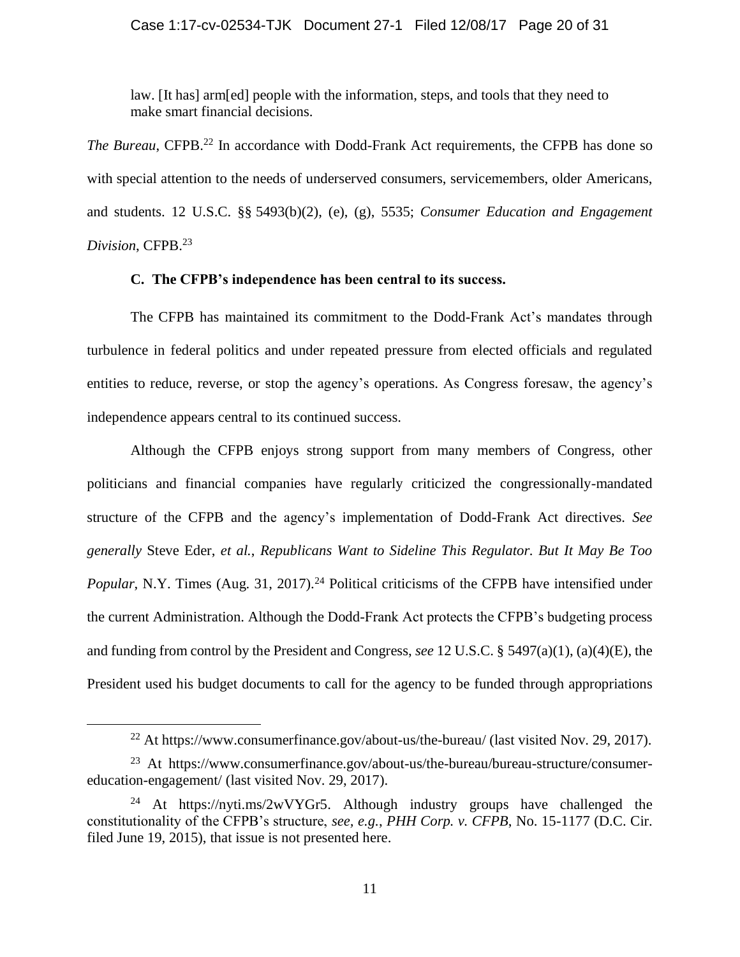law. [It has] arm[ed] people with the information, steps, and tools that they need to make smart financial decisions.

*The Bureau*, CFPB. <sup>22</sup> In accordance with Dodd-Frank Act requirements, the CFPB has done so with special attention to the needs of underserved consumers, servicemembers, older Americans, and students. 12 U.S.C. §§ 5493(b)(2), (e), (g), 5535; *Consumer Education and Engagement Division*, CFPB. 23

### **C. The CFPB's independence has been central to its success.**

The CFPB has maintained its commitment to the Dodd-Frank Act's mandates through turbulence in federal politics and under repeated pressure from elected officials and regulated entities to reduce, reverse, or stop the agency's operations. As Congress foresaw, the agency's independence appears central to its continued success.

Although the CFPB enjoys strong support from many members of Congress, other politicians and financial companies have regularly criticized the congressionally-mandated structure of the CFPB and the agency's implementation of Dodd-Frank Act directives. *See generally* Steve Eder, *et al.*, *Republicans Want to Sideline This Regulator. But It May Be Too Popular*, N.Y. Times (Aug. 31, 2017).<sup>24</sup> Political criticisms of the CFPB have intensified under the current Administration. Although the Dodd-Frank Act protects the CFPB's budgeting process and funding from control by the President and Congress, *see* 12 U.S.C. § 5497(a)(1), (a)(4)(E), the President used his budget documents to call for the agency to be funded through appropriations

<sup>&</sup>lt;sup>22</sup> At https://www.consumerfinance.gov/about-us/the-bureau/ (last visited Nov. 29, 2017).

<sup>&</sup>lt;sup>23</sup> At https://www.consumerfinance.gov/about-us/the-bureau/bureau-structure/consumereducation-engagement/ (last visited Nov. 29, 2017).

<sup>&</sup>lt;sup>24</sup> At https://nyti.ms/2wVYGr5. Although industry groups have challenged the constitutionality of the CFPB's structure, *see, e.g.*, *PHH Corp. v. CFPB*, No. 15-1177 (D.C. Cir. filed June 19, 2015), that issue is not presented here.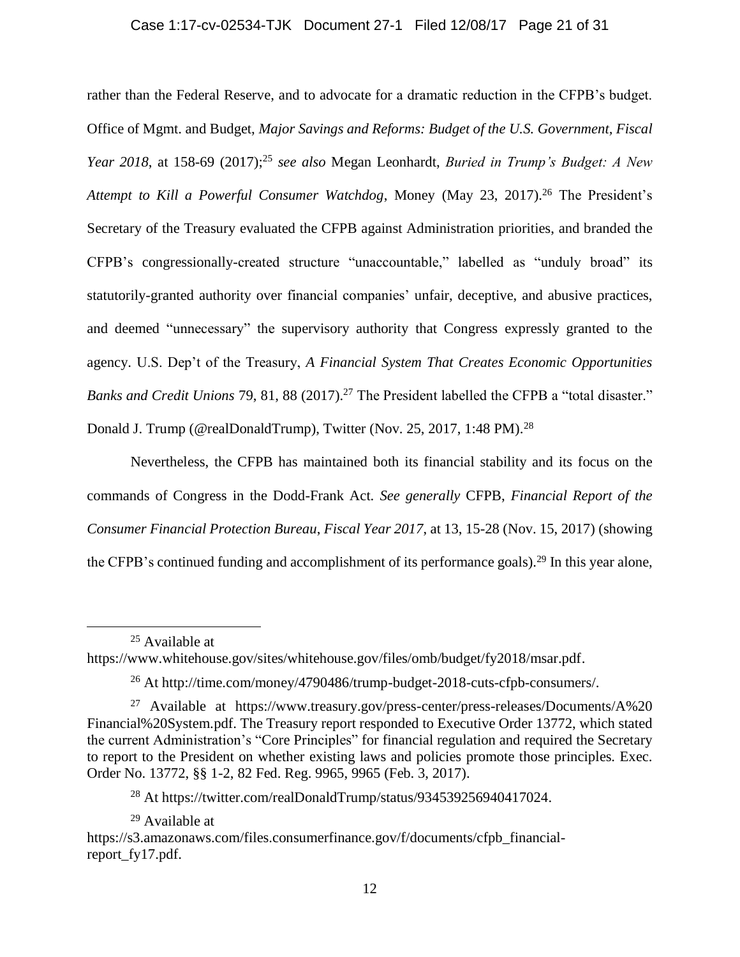#### Case 1:17-cv-02534-TJK Document 27-1 Filed 12/08/17 Page 21 of 31

rather than the Federal Reserve, and to advocate for a dramatic reduction in the CFPB's budget. Office of Mgmt. and Budget, *Major Savings and Reforms: Budget of the U.S. Government, Fiscal Year 2018*, at 158-69 (2017);<sup>25</sup> *see also* Megan Leonhardt, *Buried in Trump's Budget: A New*  Attempt to Kill a Powerful Consumer Watchdog, Money (May 23, 2017).<sup>26</sup> The President's Secretary of the Treasury evaluated the CFPB against Administration priorities, and branded the CFPB's congressionally-created structure "unaccountable," labelled as "unduly broad" its statutorily-granted authority over financial companies' unfair, deceptive, and abusive practices, and deemed "unnecessary" the supervisory authority that Congress expressly granted to the agency. U.S. Dep't of the Treasury, *A Financial System That Creates Economic Opportunities Banks and Credit Unions* 79, 81, 88 (2017). <sup>27</sup> The President labelled the CFPB a "total disaster." Donald J. Trump (@realDonaldTrump), Twitter (Nov. 25, 2017, 1:48 PM).<sup>28</sup>

Nevertheless, the CFPB has maintained both its financial stability and its focus on the commands of Congress in the Dodd-Frank Act. *See generally* CFPB, *Financial Report of the Consumer Financial Protection Bureau*, *Fiscal Year 2017*, at 13, 15-28 (Nov. 15, 2017) (showing the CFPB's continued funding and accomplishment of its performance goals).<sup>29</sup> In this year alone,

 $\overline{a}$ 

<sup>29</sup> Available at

<sup>25</sup> Available at

https://www.whitehouse.gov/sites/whitehouse.gov/files/omb/budget/fy2018/msar.pdf.

<sup>26</sup> At http://time.com/money/4790486/trump-budget-2018-cuts-cfpb-consumers/.

<sup>27</sup> Available at https://www.treasury.gov/press-center/press-releases/Documents/A%20 Financial%20System.pdf. The Treasury report responded to Executive Order 13772, which stated the current Administration's "Core Principles" for financial regulation and required the Secretary to report to the President on whether existing laws and policies promote those principles. Exec. Order No. 13772, §§ 1-2, 82 Fed. Reg. 9965, 9965 (Feb. 3, 2017).

<sup>28</sup> At https://twitter.com/realDonaldTrump/status/934539256940417024.

https://s3.amazonaws.com/files.consumerfinance.gov/f/documents/cfpb\_financialreport\_fy17.pdf.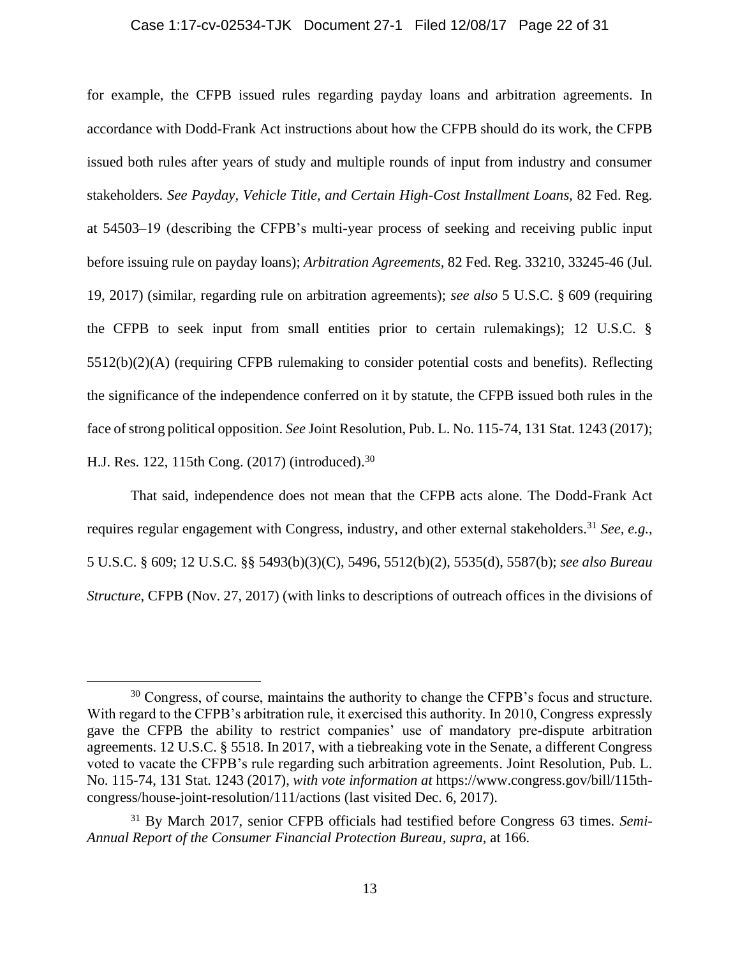#### Case 1:17-cv-02534-TJK Document 27-1 Filed 12/08/17 Page 22 of 31

for example, the CFPB issued rules regarding payday loans and arbitration agreements. In accordance with Dodd-Frank Act instructions about how the CFPB should do its work, the CFPB issued both rules after years of study and multiple rounds of input from industry and consumer stakeholders. *See Payday, Vehicle Title, and Certain High-Cost Installment Loans,* 82 Fed. Reg. at 54503–19 (describing the CFPB's multi-year process of seeking and receiving public input before issuing rule on payday loans); *Arbitration Agreements,* 82 Fed. Reg. 33210, 33245-46 (Jul. 19, 2017) (similar, regarding rule on arbitration agreements); *see also* 5 U.S.C. § 609 (requiring the CFPB to seek input from small entities prior to certain rulemakings); 12 U.S.C. § 5512(b)(2)(A) (requiring CFPB rulemaking to consider potential costs and benefits). Reflecting the significance of the independence conferred on it by statute, the CFPB issued both rules in the face of strong political opposition. *See* Joint Resolution, Pub. L. No. 115-74, 131 Stat. 1243 (2017); H.J. Res. 122, 115th Cong. (2017) (introduced).<sup>30</sup>

That said, independence does not mean that the CFPB acts alone. The Dodd-Frank Act requires regular engagement with Congress, industry, and other external stakeholders. <sup>31</sup> *See, e.g.*, 5 U.S.C. § 609; 12 U.S.C. §§ 5493(b)(3)(C), 5496, 5512(b)(2), 5535(d), 5587(b); *see also Bureau Structure*, CFPB (Nov. 27, 2017) (with links to descriptions of outreach offices in the divisions of

<sup>&</sup>lt;sup>30</sup> Congress, of course, maintains the authority to change the CFPB's focus and structure. With regard to the CFPB's arbitration rule, it exercised this authority. In 2010, Congress expressly gave the CFPB the ability to restrict companies' use of mandatory pre-dispute arbitration agreements. 12 U.S.C. § 5518. In 2017, with a tiebreaking vote in the Senate, a different Congress voted to vacate the CFPB's rule regarding such arbitration agreements. Joint Resolution, Pub. L. No. 115-74, 131 Stat. 1243 (2017), *with vote information at* https://www.congress.gov/bill/115thcongress/house-joint-resolution/111/actions (last visited Dec. 6, 2017).

<sup>31</sup> By March 2017, senior CFPB officials had testified before Congress 63 times. *Semi-Annual Report of the Consumer Financial Protection Bureau, supra*, at 166.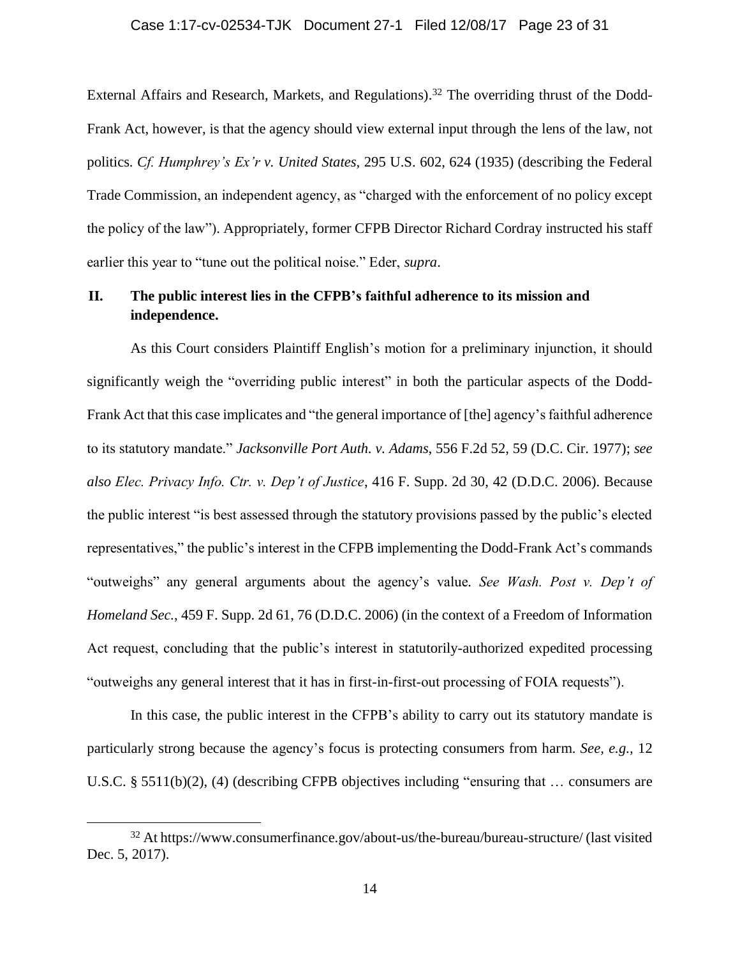External Affairs and Research, Markets, and Regulations).<sup>32</sup> The overriding thrust of the Dodd-Frank Act, however, is that the agency should view external input through the lens of the law, not politics. *Cf. Humphrey's Ex'r v. United States*, 295 U.S. 602, 624 (1935) (describing the Federal Trade Commission, an independent agency, as "charged with the enforcement of no policy except the policy of the law"). Appropriately, former CFPB Director Richard Cordray instructed his staff earlier this year to "tune out the political noise." Eder, *supra*.

## **II. The public interest lies in the CFPB's faithful adherence to its mission and independence.**

As this Court considers Plaintiff English's motion for a preliminary injunction, it should significantly weigh the "overriding public interest" in both the particular aspects of the Dodd-Frank Act that this case implicates and "the general importance of [the] agency's faithful adherence to its statutory mandate." *Jacksonville Port Auth. v. Adams*, 556 F.2d 52, 59 (D.C. Cir. 1977); *see also Elec. Privacy Info. Ctr. v. Dep't of Justice*, 416 F. Supp. 2d 30, 42 (D.D.C. 2006). Because the public interest "is best assessed through the statutory provisions passed by the public's elected representatives," the public's interest in the CFPB implementing the Dodd-Frank Act's commands "outweighs" any general arguments about the agency's value*. See Wash. Post v. Dep't of Homeland Sec.*, 459 F. Supp. 2d 61, 76 (D.D.C. 2006) (in the context of a Freedom of Information Act request, concluding that the public's interest in statutorily-authorized expedited processing "outweighs any general interest that it has in first-in-first-out processing of FOIA requests").

In this case, the public interest in the CFPB's ability to carry out its statutory mandate is particularly strong because the agency's focus is protecting consumers from harm. *See, e.g.,* 12 U.S.C. § 5511(b)(2), (4) (describing CFPB objectives including "ensuring that … consumers are

<sup>32</sup> At https://www.consumerfinance.gov/about-us/the-bureau/bureau-structure/ (last visited Dec. 5, 2017).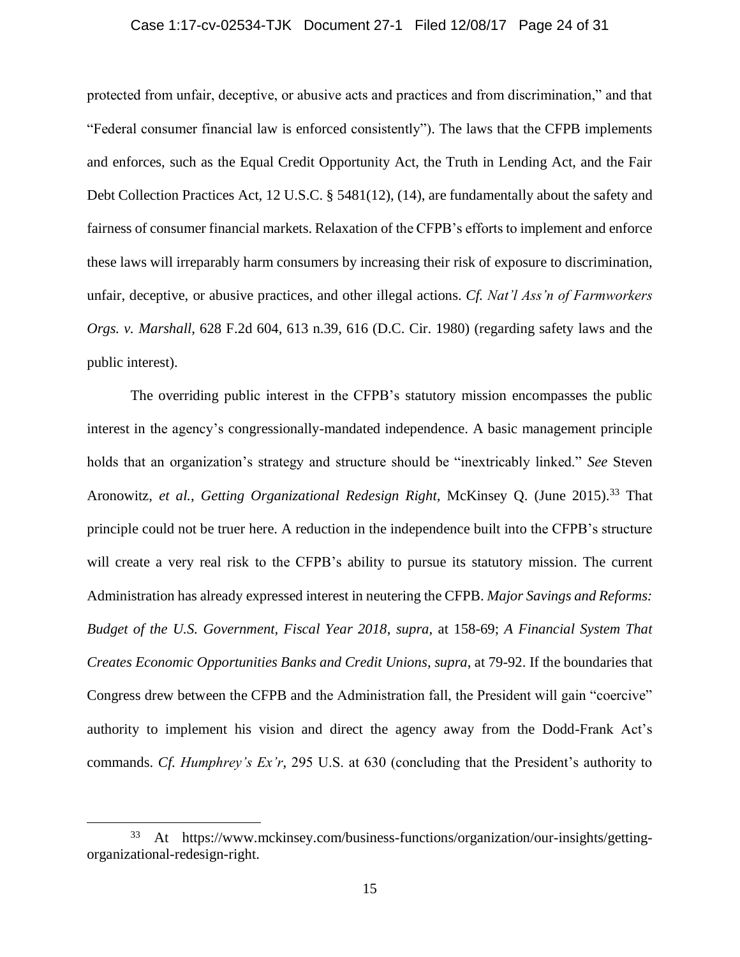#### Case 1:17-cv-02534-TJK Document 27-1 Filed 12/08/17 Page 24 of 31

protected from unfair, deceptive, or abusive acts and practices and from discrimination," and that "Federal consumer financial law is enforced consistently"). The laws that the CFPB implements and enforces, such as the Equal Credit Opportunity Act, the Truth in Lending Act, and the Fair Debt Collection Practices Act, 12 U.S.C. § 5481(12), (14), are fundamentally about the safety and fairness of consumer financial markets. Relaxation of the CFPB's efforts to implement and enforce these laws will irreparably harm consumers by increasing their risk of exposure to discrimination, unfair, deceptive, or abusive practices, and other illegal actions. *Cf. Nat'l Ass'n of Farmworkers Orgs. v. Marshall*, 628 F.2d 604, 613 n.39, 616 (D.C. Cir. 1980) (regarding safety laws and the public interest).

The overriding public interest in the CFPB's statutory mission encompasses the public interest in the agency's congressionally-mandated independence. A basic management principle holds that an organization's strategy and structure should be "inextricably linked." *See* Steven Aronowitz, *et al.*, *Getting Organizational Redesign Right,* McKinsey Q. (June 2015).<sup>33</sup> That principle could not be truer here. A reduction in the independence built into the CFPB's structure will create a very real risk to the CFPB's ability to pursue its statutory mission. The current Administration has already expressed interest in neutering the CFPB. *Major Savings and Reforms: Budget of the U.S. Government, Fiscal Year 2018*, *supra,* at 158-69; *A Financial System That Creates Economic Opportunities Banks and Credit Unions*, *supra*, at 79-92. If the boundaries that Congress drew between the CFPB and the Administration fall, the President will gain "coercive" authority to implement his vision and direct the agency away from the Dodd-Frank Act's commands. *Cf. Humphrey's Ex'r*, 295 U.S. at 630 (concluding that the President's authority to

<sup>33</sup> At https://www.mckinsey.com/business-functions/organization/our-insights/gettingorganizational-redesign-right.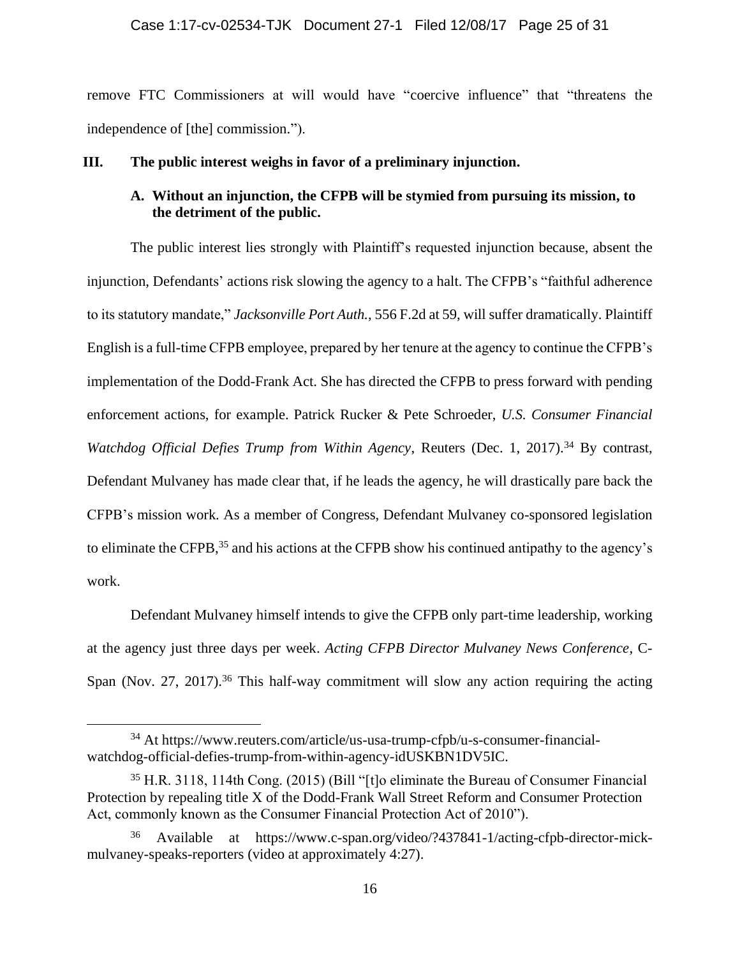remove FTC Commissioners at will would have "coercive influence" that "threatens the independence of [the] commission.").

### **III. The public interest weighs in favor of a preliminary injunction.**

## **A. Without an injunction, the CFPB will be stymied from pursuing its mission, to the detriment of the public.**

The public interest lies strongly with Plaintiff's requested injunction because, absent the injunction, Defendants' actions risk slowing the agency to a halt. The CFPB's "faithful adherence to its statutory mandate," *Jacksonville Port Auth.*, 556 F.2d at 59, will suffer dramatically. Plaintiff English is a full-time CFPB employee, prepared by her tenure at the agency to continue the CFPB's implementation of the Dodd-Frank Act. She has directed the CFPB to press forward with pending enforcement actions, for example. Patrick Rucker & Pete Schroeder, *U.S. Consumer Financial Watchdog Official Defies Trump from Within Agency*, Reuters (Dec. 1, 2017).<sup>34</sup> By contrast, Defendant Mulvaney has made clear that, if he leads the agency, he will drastically pare back the CFPB's mission work. As a member of Congress, Defendant Mulvaney co-sponsored legislation to eliminate the CFPB,<sup>35</sup> and his actions at the CFPB show his continued antipathy to the agency's work.

Defendant Mulvaney himself intends to give the CFPB only part-time leadership, working at the agency just three days per week. *Acting CFPB Director Mulvaney News Conference*, C-Span (Nov. 27, 2017).<sup>36</sup> This half-way commitment will slow any action requiring the acting

<sup>34</sup> At https://www.reuters.com/article/us-usa-trump-cfpb/u-s-consumer-financialwatchdog-official-defies-trump-from-within-agency-idUSKBN1DV5IC.

<sup>35</sup> H.R. 3118, 114th Cong. (2015) (Bill "[t]o eliminate the Bureau of Consumer Financial Protection by repealing title X of the Dodd-Frank Wall Street Reform and Consumer Protection Act, commonly known as the Consumer Financial Protection Act of 2010").

Available at https://www.c-span.org/video/?437841-1/acting-cfpb-director-mickmulvaney-speaks-reporters (video at approximately 4:27).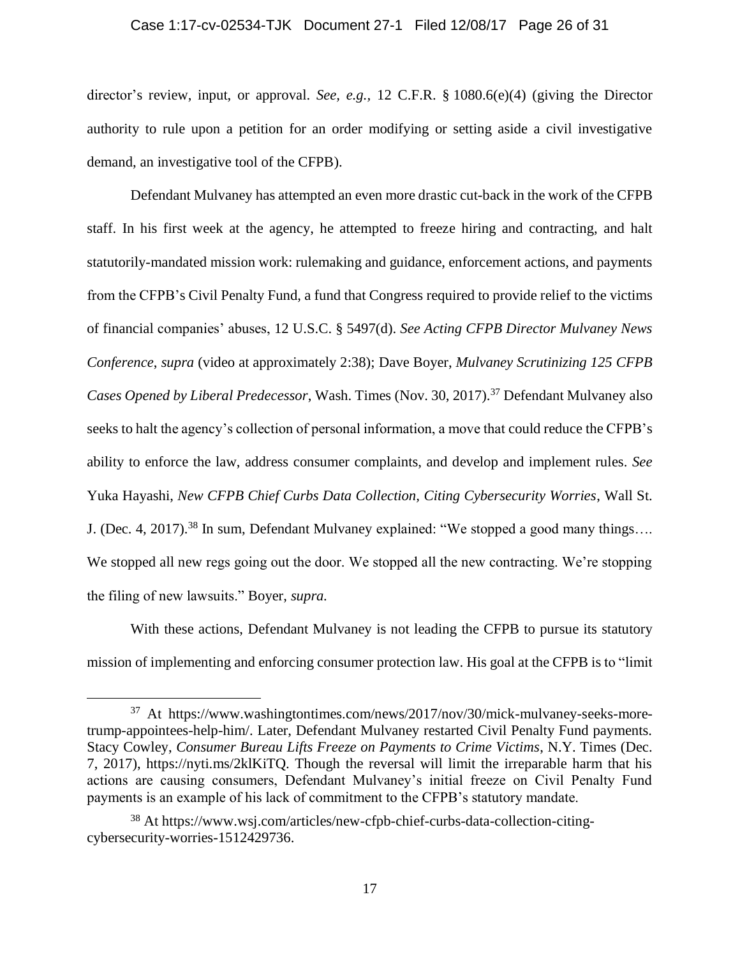#### Case 1:17-cv-02534-TJK Document 27-1 Filed 12/08/17 Page 26 of 31

director's review, input, or approval. *See, e.g.,* 12 C.F.R. § 1080.6(e)(4) (giving the Director authority to rule upon a petition for an order modifying or setting aside a civil investigative demand, an investigative tool of the CFPB).

Defendant Mulvaney has attempted an even more drastic cut-back in the work of the CFPB staff. In his first week at the agency, he attempted to freeze hiring and contracting, and halt statutorily-mandated mission work: rulemaking and guidance, enforcement actions, and payments from the CFPB's Civil Penalty Fund, a fund that Congress required to provide relief to the victims of financial companies' abuses, 12 U.S.C. § 5497(d). *See Acting CFPB Director Mulvaney News Conference*, *supra* (video at approximately 2:38); Dave Boyer, *Mulvaney Scrutinizing 125 CFPB Cases Opened by Liberal Predecessor*, Wash. Times (Nov. 30, 2017).<sup>37</sup> Defendant Mulvaney also seeks to halt the agency's collection of personal information, a move that could reduce the CFPB's ability to enforce the law, address consumer complaints, and develop and implement rules. *See*  Yuka Hayashi, *New CFPB Chief Curbs Data Collection, Citing Cybersecurity Worries*, Wall St. J. (Dec. 4, 2017).<sup>38</sup> In sum, Defendant Mulvaney explained: "We stopped a good many things.... We stopped all new regs going out the door. We stopped all the new contracting. We're stopping the filing of new lawsuits." Boyer, *supra.*

With these actions, Defendant Mulvaney is not leading the CFPB to pursue its statutory mission of implementing and enforcing consumer protection law. His goal at the CFPB is to "limit

<sup>37</sup> At https://www.washingtontimes.com/news/2017/nov/30/mick-mulvaney-seeks-moretrump-appointees-help-him/. Later, Defendant Mulvaney restarted Civil Penalty Fund payments. Stacy Cowley, *Consumer Bureau Lifts Freeze on Payments to Crime Victims*, N.Y. Times (Dec. 7, 2017), https://nyti.ms/2klKiTQ. Though the reversal will limit the irreparable harm that his actions are causing consumers, Defendant Mulvaney's initial freeze on Civil Penalty Fund payments is an example of his lack of commitment to the CFPB's statutory mandate.

<sup>38</sup> At https://www.wsj.com/articles/new-cfpb-chief-curbs-data-collection-citingcybersecurity-worries-1512429736.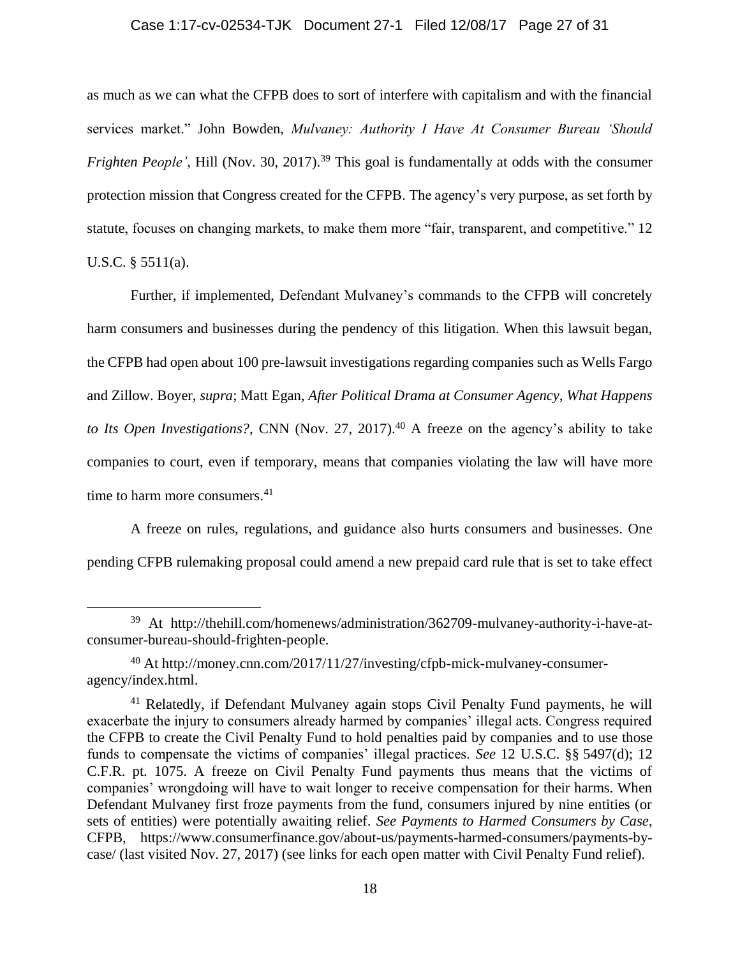#### Case 1:17-cv-02534-TJK Document 27-1 Filed 12/08/17 Page 27 of 31

as much as we can what the CFPB does to sort of interfere with capitalism and with the financial services market." John Bowden, *Mulvaney: Authority I Have At Consumer Bureau 'Should Frighten People'*, Hill (Nov. 30, 2017).<sup>39</sup> This goal is fundamentally at odds with the consumer protection mission that Congress created for the CFPB. The agency's very purpose, as set forth by statute, focuses on changing markets, to make them more "fair, transparent, and competitive." 12 U.S.C. § 5511(a).

Further, if implemented, Defendant Mulvaney's commands to the CFPB will concretely harm consumers and businesses during the pendency of this litigation. When this lawsuit began, the CFPB had open about 100 pre-lawsuit investigations regarding companies such as Wells Fargo and Zillow. Boyer, *supra*; Matt Egan, *After Political Drama at Consumer Agency, What Happens to Its Open Investigations?*, CNN (Nov. 27, 2017). <sup>40</sup> A freeze on the agency's ability to take companies to court, even if temporary, means that companies violating the law will have more time to harm more consumers. 41

A freeze on rules, regulations, and guidance also hurts consumers and businesses. One pending CFPB rulemaking proposal could amend a new prepaid card rule that is set to take effect

<sup>39</sup> At http://thehill.com/homenews/administration/362709-mulvaney-authority-i-have-atconsumer-bureau-should-frighten-people.

<sup>40</sup> At http://money.cnn.com/2017/11/27/investing/cfpb-mick-mulvaney-consumeragency/index.html.

<sup>41</sup> Relatedly, if Defendant Mulvaney again stops Civil Penalty Fund payments, he will exacerbate the injury to consumers already harmed by companies' illegal acts. Congress required the CFPB to create the Civil Penalty Fund to hold penalties paid by companies and to use those funds to compensate the victims of companies' illegal practices. *See* 12 U.S.C. §§ 5497(d); 12 C.F.R. pt. 1075. A freeze on Civil Penalty Fund payments thus means that the victims of companies' wrongdoing will have to wait longer to receive compensation for their harms. When Defendant Mulvaney first froze payments from the fund, consumers injured by nine entities (or sets of entities) were potentially awaiting relief. *See Payments to Harmed Consumers by Case*, CFPB, https://www.consumerfinance.gov/about-us/payments-harmed-consumers/payments-bycase/ (last visited Nov. 27, 2017) (see links for each open matter with Civil Penalty Fund relief).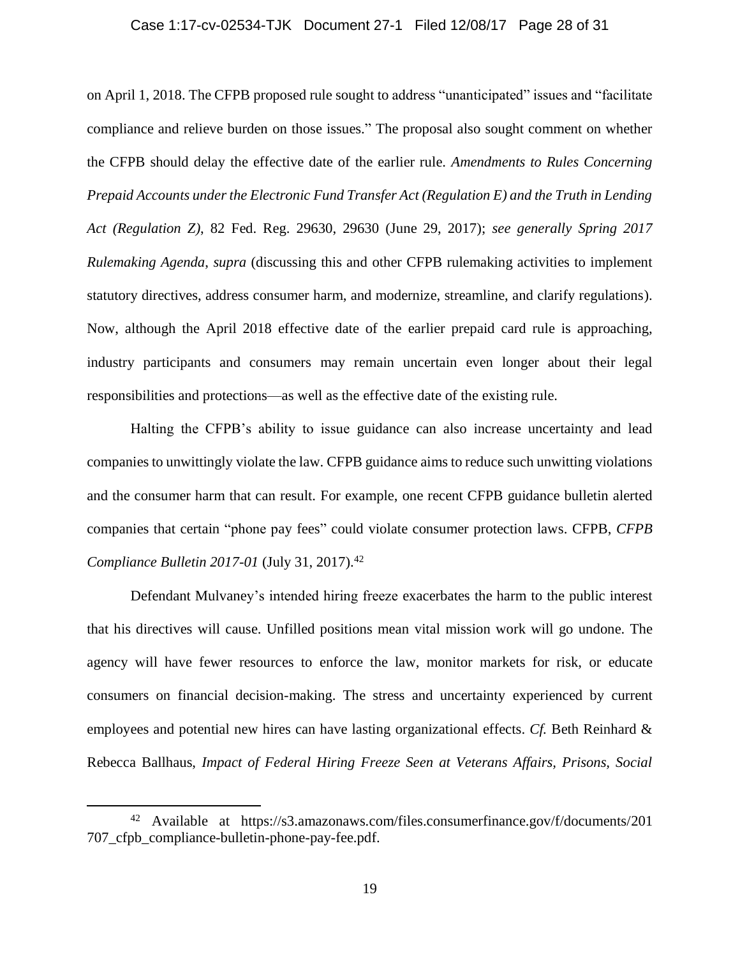#### Case 1:17-cv-02534-TJK Document 27-1 Filed 12/08/17 Page 28 of 31

on April 1, 2018. The CFPB proposed rule sought to address "unanticipated" issues and "facilitate compliance and relieve burden on those issues." The proposal also sought comment on whether the CFPB should delay the effective date of the earlier rule. *Amendments to Rules Concerning Prepaid Accounts under the Electronic Fund Transfer Act (Regulation E) and the Truth in Lending Act (Regulation Z)*, 82 Fed. Reg. 29630, 29630 (June 29, 2017); *see generally Spring 2017 Rulemaking Agenda*, *supra* (discussing this and other CFPB rulemaking activities to implement statutory directives, address consumer harm, and modernize, streamline, and clarify regulations). Now, although the April 2018 effective date of the earlier prepaid card rule is approaching, industry participants and consumers may remain uncertain even longer about their legal responsibilities and protections—as well as the effective date of the existing rule.

Halting the CFPB's ability to issue guidance can also increase uncertainty and lead companies to unwittingly violate the law. CFPB guidance aims to reduce such unwitting violations and the consumer harm that can result. For example, one recent CFPB guidance bulletin alerted companies that certain "phone pay fees" could violate consumer protection laws. CFPB, *CFPB Compliance Bulletin 2017-01* (July 31, 2017). 42

Defendant Mulvaney's intended hiring freeze exacerbates the harm to the public interest that his directives will cause. Unfilled positions mean vital mission work will go undone. The agency will have fewer resources to enforce the law, monitor markets for risk, or educate consumers on financial decision-making. The stress and uncertainty experienced by current employees and potential new hires can have lasting organizational effects. *Cf.* Beth Reinhard & Rebecca Ballhaus, *Impact of Federal Hiring Freeze Seen at Veterans Affairs, Prisons, Social* 

<sup>42</sup> Available at https://s3.amazonaws.com/files.consumerfinance.gov/f/documents/201 707\_cfpb\_compliance-bulletin-phone-pay-fee.pdf.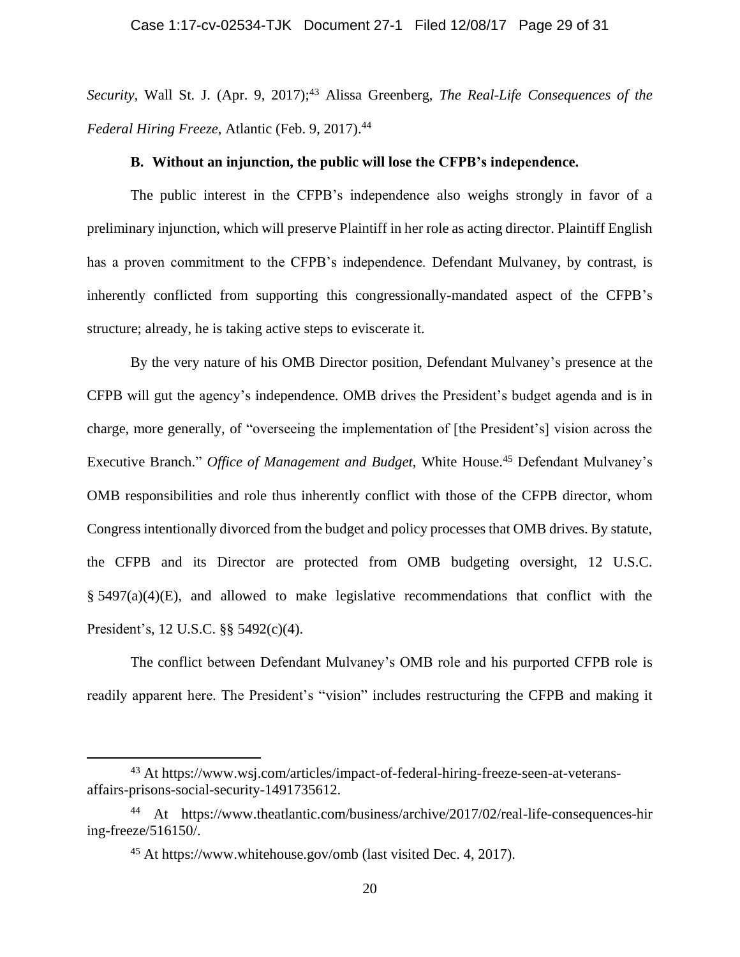*Security, Wall St. J. (Apr. 9, 2017);*<sup>43</sup> Alissa Greenberg, *The Real-Life Consequences of the Federal Hiring Freeze*, Atlantic (Feb. 9, 2017). 44

#### **B. Without an injunction, the public will lose the CFPB's independence.**

The public interest in the CFPB's independence also weighs strongly in favor of a preliminary injunction, which will preserve Plaintiff in her role as acting director. Plaintiff English has a proven commitment to the CFPB's independence. Defendant Mulvaney, by contrast, is inherently conflicted from supporting this congressionally-mandated aspect of the CFPB's structure; already, he is taking active steps to eviscerate it.

By the very nature of his OMB Director position, Defendant Mulvaney's presence at the CFPB will gut the agency's independence. OMB drives the President's budget agenda and is in charge, more generally, of "overseeing the implementation of [the President's] vision across the Executive Branch." *Office of Management and Budget*, White House. <sup>45</sup> Defendant Mulvaney's OMB responsibilities and role thus inherently conflict with those of the CFPB director, whom Congress intentionally divorced from the budget and policy processes that OMB drives. By statute, the CFPB and its Director are protected from OMB budgeting oversight, 12 U.S.C.  $§$  5497(a)(4)(E), and allowed to make legislative recommendations that conflict with the President's, 12 U.S.C. §§ 5492(c)(4).

The conflict between Defendant Mulvaney's OMB role and his purported CFPB role is readily apparent here. The President's "vision" includes restructuring the CFPB and making it

<sup>43</sup> At https://www.wsj.com/articles/impact-of-federal-hiring-freeze-seen-at-veteransaffairs-prisons-social-security-1491735612.

<sup>44</sup> At https://www.theatlantic.com/business/archive/2017/02/real-life-consequences-hir ing-freeze/516150/.

<sup>45</sup> At https://www.whitehouse.gov/omb (last visited Dec. 4, 2017).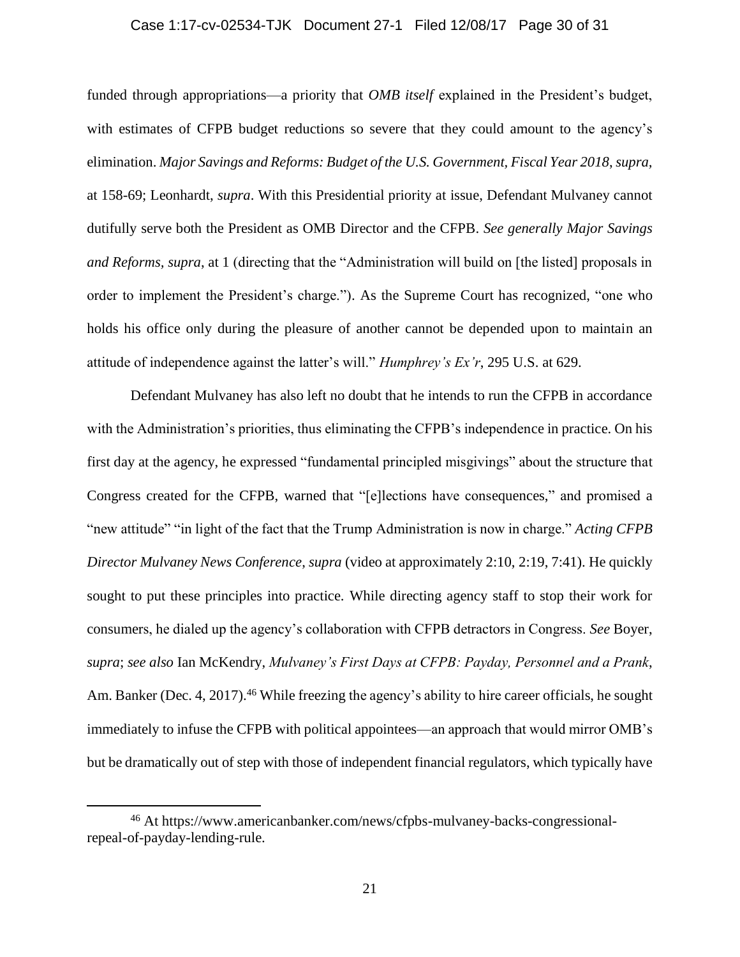#### Case 1:17-cv-02534-TJK Document 27-1 Filed 12/08/17 Page 30 of 31

funded through appropriations—a priority that *OMB itself* explained in the President's budget, with estimates of CFPB budget reductions so severe that they could amount to the agency's elimination. *Major Savings and Reforms: Budget of the U.S. Government, Fiscal Year 2018*, *supra,*  at 158-69; Leonhardt, *supra*. With this Presidential priority at issue, Defendant Mulvaney cannot dutifully serve both the President as OMB Director and the CFPB. *See generally Major Savings and Reforms, supra*, at 1 (directing that the "Administration will build on [the listed] proposals in order to implement the President's charge."). As the Supreme Court has recognized, "one who holds his office only during the pleasure of another cannot be depended upon to maintain an attitude of independence against the latter's will." *Humphrey's Ex'r*, 295 U.S. at 629.

Defendant Mulvaney has also left no doubt that he intends to run the CFPB in accordance with the Administration's priorities, thus eliminating the CFPB's independence in practice. On his first day at the agency, he expressed "fundamental principled misgivings" about the structure that Congress created for the CFPB, warned that "[e]lections have consequences," and promised a "new attitude" "in light of the fact that the Trump Administration is now in charge." *Acting CFPB Director Mulvaney News Conference*, *supra* (video at approximately 2:10, 2:19, 7:41). He quickly sought to put these principles into practice. While directing agency staff to stop their work for consumers, he dialed up the agency's collaboration with CFPB detractors in Congress. *See* Boyer, *supra*; *see also* Ian McKendry, *Mulvaney's First Days at CFPB: Payday, Personnel and a Prank*, Am. Banker (Dec. 4, 2017).<sup>46</sup> While freezing the agency's ability to hire career officials, he sought immediately to infuse the CFPB with political appointees—an approach that would mirror OMB's but be dramatically out of step with those of independent financial regulators, which typically have

<sup>46</sup> At https://www.americanbanker.com/news/cfpbs-mulvaney-backs-congressionalrepeal-of-payday-lending-rule.